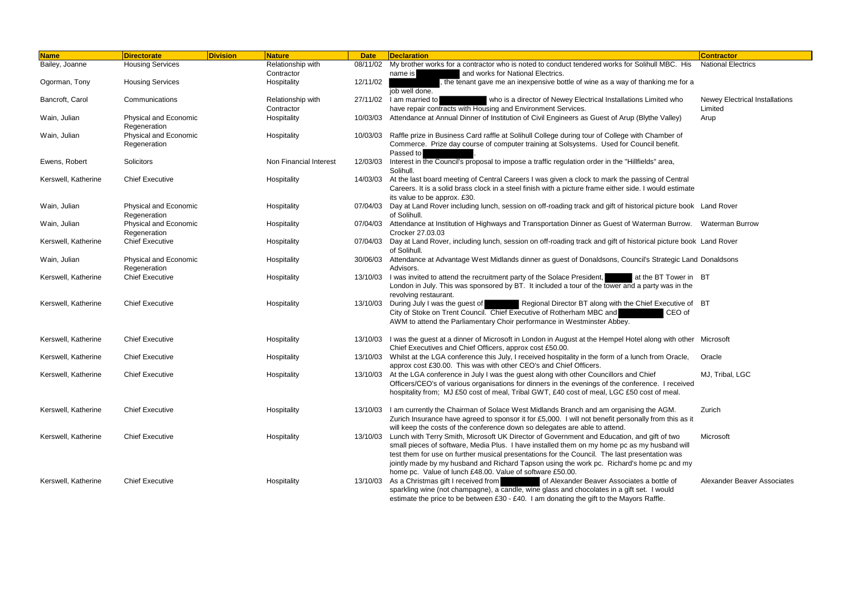| <b>Name</b>         | <b>Directorate</b>                           | <b>Division</b> | <b>Nature</b>                   | <b>Date</b> | <b>Declaration</b>                                                                                                                                                                                                                                                                                                                                                                                | <b>Contractor</b>                                |
|---------------------|----------------------------------------------|-----------------|---------------------------------|-------------|---------------------------------------------------------------------------------------------------------------------------------------------------------------------------------------------------------------------------------------------------------------------------------------------------------------------------------------------------------------------------------------------------|--------------------------------------------------|
| Bailey, Joanne      | <b>Housing Services</b>                      |                 | Relationship with               | 08/11/02    | My brother works for a contractor who is noted to conduct tendered works for Solihull MBC. His                                                                                                                                                                                                                                                                                                    | <b>National Electrics</b>                        |
|                     |                                              |                 | Contractor                      |             | and works for National Electrics.<br>name is                                                                                                                                                                                                                                                                                                                                                      |                                                  |
| Ogorman, Tony       | <b>Housing Services</b>                      |                 | Hospitality                     | 12/11/02    | , the tenant gave me an inexpensive bottle of wine as a way of thanking me for a<br>job well done.                                                                                                                                                                                                                                                                                                |                                                  |
| Bancroft, Carol     | Communications                               |                 | Relationship with<br>Contractor | 27/11/02    | I am married to<br>who is a director of Newey Electrical Installations Limited who<br>have repair contracts with Housing and Environment Services.                                                                                                                                                                                                                                                | <b>Newey Electrical Installations</b><br>Limited |
| Wain, Julian        | Physical and Economic<br>Regeneration        |                 | Hospitality                     | 10/03/03    | Attendance at Annual Dinner of Institution of Civil Engineers as Guest of Arup (Blythe Valley)                                                                                                                                                                                                                                                                                                    | Arup                                             |
| Wain, Julian        | <b>Physical and Economic</b><br>Regeneration |                 | Hospitality                     |             | 10/03/03 Raffle prize in Business Card raffle at Solihull College during tour of College with Chamber of<br>Commerce. Prize day course of computer training at Solsystems. Used for Council benefit.<br>Passed to                                                                                                                                                                                 |                                                  |
| Ewens, Robert       | Solicitors                                   |                 | Non Financial Interest          | 12/03/03    | Interest in the Council's proposal to impose a traffic regulation order in the "Hillfields" area,<br>Solihull.                                                                                                                                                                                                                                                                                    |                                                  |
| Kerswell, Katherine | <b>Chief Executive</b>                       |                 | Hospitality                     | 14/03/03    | At the last board meeting of Central Careers I was given a clock to mark the passing of Central<br>Careers. It is a solid brass clock in a steel finish with a picture frame either side. I would estimate<br>its value to be approx. £30.                                                                                                                                                        |                                                  |
| Wain, Julian        | <b>Physical and Economic</b><br>Regeneration |                 | Hospitality                     |             | 07/04/03 Day at Land Rover including lunch, session on off-roading track and gift of historical picture book Land Rover<br>of Solihull.                                                                                                                                                                                                                                                           |                                                  |
| Wain, Julian        | <b>Physical and Economic</b><br>Regeneration |                 | Hospitality                     |             | 07/04/03 Attendance at Institution of Highways and Transportation Dinner as Guest of Waterman Burrow. Waterman Burrow<br>Crocker 27.03.03                                                                                                                                                                                                                                                         |                                                  |
| Kerswell, Katherine | <b>Chief Executive</b>                       |                 | Hospitality                     |             | 07/04/03 Day at Land Rover, including lunch, session on off-roading track and gift of historical picture book Land Rover<br>of Solihull.                                                                                                                                                                                                                                                          |                                                  |
| Wain, Julian        | Physical and Economic<br>Regeneration        |                 | Hospitality                     |             | 30/06/03 Attendance at Advantage West Midlands dinner as guest of Donaldsons, Council's Strategic Land Donaldsons<br>Advisors.                                                                                                                                                                                                                                                                    |                                                  |
| Kerswell, Katherine | <b>Chief Executive</b>                       |                 | Hospitality                     |             | 13/10/03 I was invited to attend the recruitment party of the Solace President,<br>at the BT Tower in BT<br>London in July. This was sponsored by BT. It included a tour of the tower and a party was in the<br>revolving restaurant.                                                                                                                                                             |                                                  |
| Kerswell, Katherine | <b>Chief Executive</b>                       |                 | Hospitality                     | 13/10/03    | During July I was the guest of<br>Regional Director BT along with the Chief Executive of BT<br>City of Stoke on Trent Council. Chief Executive of Rotherham MBC and<br>CEO of<br>AWM to attend the Parliamentary Choir performance in Westminster Abbey.                                                                                                                                          |                                                  |
| Kerswell, Katherine | <b>Chief Executive</b>                       |                 | Hospitality                     | 13/10/03    | I was the guest at a dinner of Microsoft in London in August at the Hempel Hotel along with other Microsoft<br>Chief Executives and Chief Officers, approx cost £50.00.                                                                                                                                                                                                                           |                                                  |
| Kerswell, Katherine | <b>Chief Executive</b>                       |                 | Hospitality                     | 13/10/03    | Whilst at the LGA conference this July, I received hospitality in the form of a lunch from Oracle,<br>approx cost £30.00. This was with other CEO's and Chief Officers.                                                                                                                                                                                                                           | Oracle                                           |
| Kerswell, Katherine | <b>Chief Executive</b>                       |                 | Hospitality                     |             | 13/10/03 At the LGA conference in July I was the guest along with other Councillors and Chief<br>Officers/CEO's of various organisations for dinners in the evenings of the conference. I received<br>hospitality from; MJ £50 cost of meal, Tribal GWT, £40 cost of meal, LGC £50 cost of meal.                                                                                                  | MJ, Tribal, LGC                                  |
| Kerswell, Katherine | <b>Chief Executive</b>                       |                 | Hospitality                     |             | 13/10/03 I am currently the Chairman of Solace West Midlands Branch and am organising the AGM.<br>Zurich Insurance have agreed to sponsor it for £5,000. I will not benefit personally from this as it<br>will keep the costs of the conference down so delegates are able to attend.                                                                                                             | Zurich                                           |
| Kerswell, Katherine | <b>Chief Executive</b>                       |                 | Hospitality                     |             | 13/10/03 Lunch with Terry Smith, Microsoft UK Director of Government and Education, and gift of two<br>small pieces of software, Media Plus. I have installed them on my home pc as my husband will<br>test them for use on further musical presentations for the Council. The last presentation was<br>jointly made by my husband and Richard Tapson using the work pc. Richard's home pc and my | Microsoft                                        |
| Kerswell, Katherine | <b>Chief Executive</b>                       |                 | Hospitality                     | 13/10/03    | home pc. Value of lunch £48.00. Value of software £50.00.<br>As a Christmas gift I received from<br>of Alexander Beaver Associates a bottle of<br>sparkling wine (not champagne), a candle, wine glass and chocolates in a gift set. I would<br>estimate the price to be between £30 - £40. I am donating the gift to the Mayors Raffle.                                                          | Alexander Beaver Associates                      |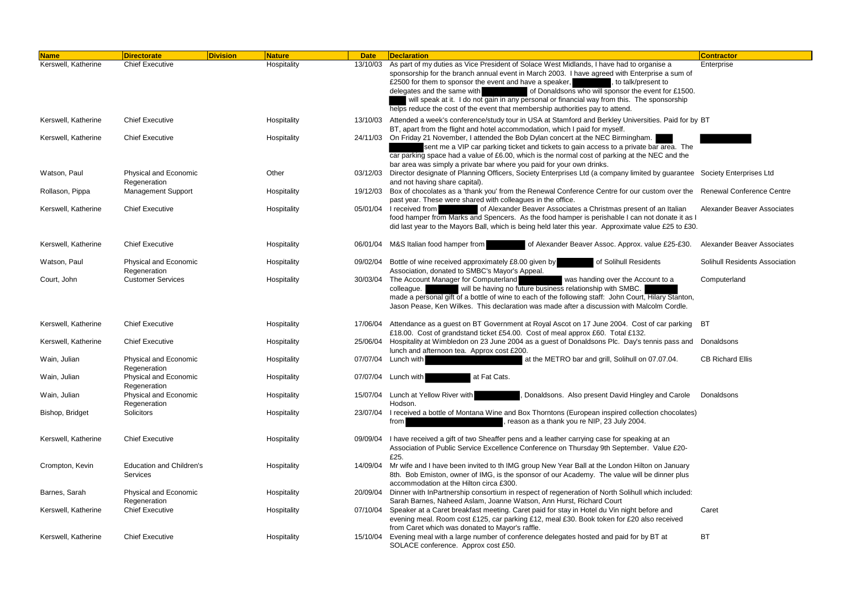| <b>Name</b>         | <b>Directorate</b>                                 | <b>Division</b> | <b>Nature</b> | <b>Date</b> | <b>Declaration</b>                                                                                                                                                                                                                                                                                                                                                                                                                                                                                                                                 | <b>Contractor</b>                  |
|---------------------|----------------------------------------------------|-----------------|---------------|-------------|----------------------------------------------------------------------------------------------------------------------------------------------------------------------------------------------------------------------------------------------------------------------------------------------------------------------------------------------------------------------------------------------------------------------------------------------------------------------------------------------------------------------------------------------------|------------------------------------|
| Kerswell, Katherine | <b>Chief Executive</b>                             |                 | Hospitality   | 13/10/03    | As part of my duties as Vice President of Solace West Midlands, I have had to organise a<br>sponsorship for the branch annual event in March 2003. I have agreed with Enterprise a sum of<br>£2500 for them to sponsor the event and have a speaker,<br>, to talk/present to<br>of Donaldsons who will sponsor the event for £1500.<br>delegates and the same with<br>will speak at it. I do not gain in any personal or financial way from this. The sponsorship<br>helps reduce the cost of the event that membership authorities pay to attend. | Enterprise                         |
| Kerswell, Katherine | <b>Chief Executive</b>                             |                 | Hospitality   | 13/10/03    | Attended a week's conference/study tour in USA at Stamford and Berkley Universities. Paid for by BT<br>BT, apart from the flight and hotel accommodation, which I paid for myself.                                                                                                                                                                                                                                                                                                                                                                 |                                    |
| Kerswell, Katherine | <b>Chief Executive</b>                             |                 | Hospitality   |             | 24/11/03 On Friday 21 November, I attended the Bob Dylan concert at the NEC Birmingham.<br>sent me a VIP car parking ticket and tickets to gain access to a private bar area. The<br>car parking space had a value of £6.00, which is the normal cost of parking at the NEC and the<br>bar area was simply a private bar where you paid for your own drinks.                                                                                                                                                                                       |                                    |
| Watson, Paul        | Physical and Economic<br>Regeneration              |                 | Other         | 03/12/03    | Director designate of Planning Officers, Society Enterprises Ltd (a company limited by guarantee Society Enterprises Ltd<br>and not having share capital).                                                                                                                                                                                                                                                                                                                                                                                         |                                    |
| Rollason, Pippa     | <b>Management Support</b>                          |                 | Hospitality   | 19/12/03    | Box of chocolates as a 'thank you' from the Renewal Conference Centre for our custom over the Renewal Conference Centre<br>past year. These were shared with colleagues in the office.                                                                                                                                                                                                                                                                                                                                                             |                                    |
| Kerswell, Katherine | <b>Chief Executive</b>                             |                 | Hospitality   | 05/01/04    | I received from<br>of Alexander Beaver Associates a Christmas present of an Italian<br>food hamper from Marks and Spencers. As the food hamper is perishable I can not donate it as I<br>did last year to the Mayors Ball, which is being held later this year. Approximate value £25 to £30.                                                                                                                                                                                                                                                      | <b>Alexander Beaver Associates</b> |
| Kerswell, Katherine | <b>Chief Executive</b>                             |                 | Hospitality   | 06/01/04    | M&S Italian food hamper from<br>of Alexander Beaver Assoc. Approx. value £25-£30.                                                                                                                                                                                                                                                                                                                                                                                                                                                                  | <b>Alexander Beaver Associates</b> |
| Watson, Paul        | Physical and Economic<br>Regeneration              |                 | Hospitality   | 09/02/04    | Bottle of wine received approximately £8.00 given by<br>of Solihull Residents<br>Association, donated to SMBC's Mayor's Appeal.                                                                                                                                                                                                                                                                                                                                                                                                                    | Solihull Residents Association     |
| Court, John         | <b>Customer Services</b>                           |                 | Hospitality   | 30/03/04    | The Account Manager for Computerland<br>was handing over the Account to a<br>will be having no future business relationship with SMBC.<br>colleague.<br>made a personal gift of a bottle of wine to each of the following staff: John Court, Hilary Stanton,<br>Jason Pease, Ken Wilkes. This declaration was made after a discussion with Malcolm Cordle.                                                                                                                                                                                         | Computerland                       |
| Kerswell, Katherine | <b>Chief Executive</b>                             |                 | Hospitality   | 17/06/04    | Attendance as a guest on BT Government at Royal Ascot on 17 June 2004. Cost of car parking BT<br>£18.00. Cost of grandstand ticket £54.00. Cost of meal approx £60. Total £132.                                                                                                                                                                                                                                                                                                                                                                    |                                    |
| Kerswell, Katherine | <b>Chief Executive</b>                             |                 | Hospitality   | 25/06/04    | Hospitality at Wimbledon on 23 June 2004 as a guest of Donaldsons Plc. Day's tennis pass and Donaldsons<br>lunch and afternoon tea. Approx cost £200.                                                                                                                                                                                                                                                                                                                                                                                              |                                    |
| Wain, Julian        | Physical and Economic<br>Regeneration              |                 | Hospitality   | 07/07/04    | at the METRO bar and grill, Solihull on 07.07.04.<br>Lunch with                                                                                                                                                                                                                                                                                                                                                                                                                                                                                    | <b>CB Richard Ellis</b>            |
| Wain, Julian        | Physical and Economic<br>Regeneration              |                 | Hospitality   | 07/07/04    | Lunch with<br>at Fat Cats.                                                                                                                                                                                                                                                                                                                                                                                                                                                                                                                         |                                    |
| Wain, Julian        | Physical and Economic<br>Regeneration              |                 | Hospitality   | 15/07/04    | Lunch at Yellow River with<br>Donaldsons. Also present David Hingley and Carole<br>Hodson.                                                                                                                                                                                                                                                                                                                                                                                                                                                         | Donaldsons                         |
| Bishop, Bridget     | Solicitors                                         |                 | Hospitality   | 23/07/04    | I received a bottle of Montana Wine and Box Thorntons (European inspired collection chocolates)<br>reason as a thank you re NIP, 23 July 2004.<br>from                                                                                                                                                                                                                                                                                                                                                                                             |                                    |
| Kerswell, Katherine | <b>Chief Executive</b>                             |                 | Hospitality   | 09/09/04    | I have received a gift of two Sheaffer pens and a leather carrying case for speaking at an<br>Association of Public Service Excellence Conference on Thursday 9th September. Value £20-<br>£25.                                                                                                                                                                                                                                                                                                                                                    |                                    |
| Crompton, Kevin     | <b>Education and Children's</b><br><b>Services</b> |                 | Hospitality   | 14/09/04    | Mr wife and I have been invited to th IMG group New Year Ball at the London Hilton on January<br>8th. Bob Emiston, owner of IMG, is the sponsor of our Academy. The value will be dinner plus<br>accommodation at the Hilton circa £300.                                                                                                                                                                                                                                                                                                           |                                    |
| Barnes, Sarah       | Physical and Economic<br>Regeneration              |                 | Hospitality   | 20/09/04    | Dinner with InPartnership consortium in respect of regeneration of North Solihull which included:<br>Sarah Barnes, Naheed Aslam, Joanne Watson, Ann Hurst, Richard Court                                                                                                                                                                                                                                                                                                                                                                           |                                    |
| Kerswell, Katherine | <b>Chief Executive</b>                             |                 | Hospitality   | 07/10/04    | Speaker at a Caret breakfast meeting. Caret paid for stay in Hotel du Vin night before and<br>evening meal. Room cost £125, car parking £12, meal £30. Book token for £20 also received<br>from Caret which was donated to Mayor's raffle.                                                                                                                                                                                                                                                                                                         | Caret                              |
| Kerswell, Katherine | <b>Chief Executive</b>                             |                 | Hospitality   | 15/10/04    | Evening meal with a large number of conference delegates hosted and paid for by BT at<br>SOLACE conference. Approx cost £50.                                                                                                                                                                                                                                                                                                                                                                                                                       | BT                                 |

| Contractor |
|------------|
|------------|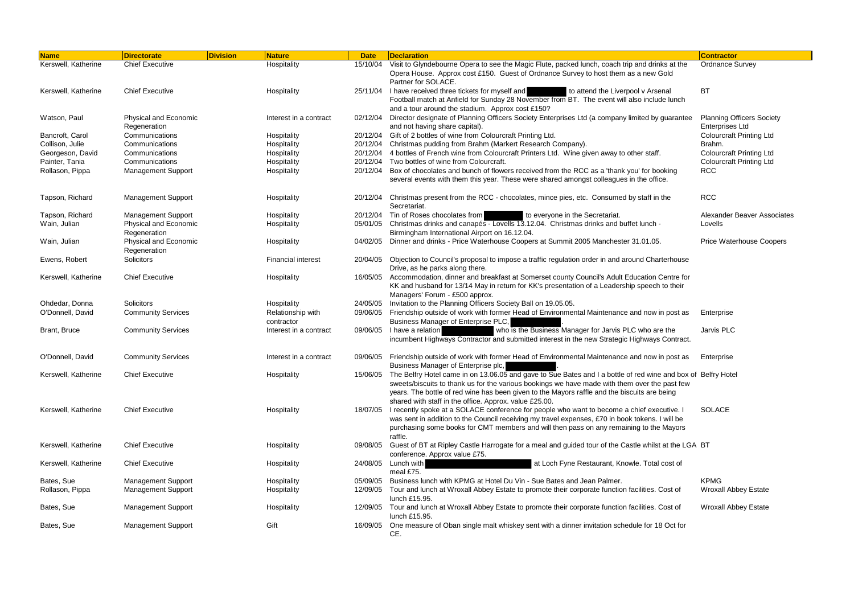| <b>Name</b>         | <b>Directorate</b>                    | <b>Division</b> | <b>Nature</b>                   | <b>Date</b> | Declaration                                                                                                                                                                                                                                                                                                                                                                       | <b>Contractor</b>                                          |
|---------------------|---------------------------------------|-----------------|---------------------------------|-------------|-----------------------------------------------------------------------------------------------------------------------------------------------------------------------------------------------------------------------------------------------------------------------------------------------------------------------------------------------------------------------------------|------------------------------------------------------------|
| Kerswell, Katherine | <b>Chief Executive</b>                |                 | Hospitality                     | 15/10/04    | Visit to Glyndebourne Opera to see the Magic Flute, packed lunch, coach trip and drinks at the                                                                                                                                                                                                                                                                                    | <b>Ordnance Survey</b>                                     |
|                     |                                       |                 |                                 |             | Opera House. Approx cost £150. Guest of Ordnance Survey to host them as a new Gold<br>Partner for SOLACE.                                                                                                                                                                                                                                                                         |                                                            |
| Kerswell, Katherine | <b>Chief Executive</b>                |                 | Hospitality                     | 25/11/04    | I have received three tickets for myself and<br>to attend the Liverpool v Arsenal<br>Football match at Anfield for Sunday 28 November from BT. The event will also include lunch<br>and a tour around the stadium. Approx cost £150?                                                                                                                                              | BT                                                         |
| Watson, Paul        | Physical and Economic<br>Regeneration |                 | Interest in a contract          | 02/12/04    | Director designate of Planning Officers Society Enterprises Ltd (a company limited by guarantee<br>and not having share capital).                                                                                                                                                                                                                                                 | <b>Planning Officers Society</b><br><b>Enterprises Ltd</b> |
| Bancroft, Carol     | Communications                        |                 | Hospitality                     | 20/12/04    | Gift of 2 bottles of wine from Colourcraft Printing Ltd.                                                                                                                                                                                                                                                                                                                          | <b>Colourcraft Printing Ltd</b>                            |
| Collison, Julie     | Communications                        |                 | Hospitality                     | 20/12/04    | Christmas pudding from Brahm (Markert Research Company).                                                                                                                                                                                                                                                                                                                          | Brahm.                                                     |
| Georgeson, David    | Communications                        |                 | Hospitality                     | 20/12/04    | 4 bottles of French wine from Colourcraft Printers Ltd. Wine given away to other staff.                                                                                                                                                                                                                                                                                           | <b>Colourcraft Printing Ltd</b>                            |
| Painter, Tania      | Communications                        |                 | Hospitality                     | 20/12/04    | Two bottles of wine from Colourcraft.                                                                                                                                                                                                                                                                                                                                             | <b>Colourcraft Printing Ltd</b>                            |
| Rollason, Pippa     | <b>Management Support</b>             |                 | Hospitality                     | 20/12/04    | Box of chocolates and bunch of flowers received from the RCC as a 'thank you' for booking<br>several events with them this year. These were shared amongst colleagues in the office.                                                                                                                                                                                              | <b>RCC</b>                                                 |
| Tapson, Richard     | <b>Management Support</b>             |                 | Hospitality                     | 20/12/04    | Christmas present from the RCC - chocolates, mince pies, etc. Consumed by staff in the<br>Secretariat.                                                                                                                                                                                                                                                                            | <b>RCC</b>                                                 |
| Tapson, Richard     | <b>Management Support</b>             |                 | Hospitality                     | 20/12/04    | Tin of Roses chocolates from<br>to everyone in the Secretariat.                                                                                                                                                                                                                                                                                                                   | Alexander Beaver Associates                                |
| Wain, Julian        | Physical and Economic<br>Regeneration |                 | Hospitality                     | 05/01/05    | Christmas drinks and canapés - Lovells 13.12.04. Christmas drinks and buffet lunch -<br>Birmingham International Airport on 16.12.04.                                                                                                                                                                                                                                             | Lovells                                                    |
| Wain, Julian        | Physical and Economic<br>Regeneration |                 | Hospitality                     | 04/02/05    | Dinner and drinks - Price Waterhouse Coopers at Summit 2005 Manchester 31.01.05.                                                                                                                                                                                                                                                                                                  | <b>Price Waterhouse Coopers</b>                            |
| Ewens, Robert       | Solicitors                            |                 | <b>Financial interest</b>       | 20/04/05    | Objection to Council's proposal to impose a traffic regulation order in and around Charterhouse<br>Drive, as he parks along there.                                                                                                                                                                                                                                                |                                                            |
| Kerswell, Katherine | <b>Chief Executive</b>                |                 | Hospitality                     | 16/05/05    | Accommodation, dinner and breakfast at Somerset county Council's Adult Education Centre for<br>KK and husband for 13/14 May in return for KK's presentation of a Leadership speech to their<br>Managers' Forum - £500 approx.                                                                                                                                                     |                                                            |
| Ohdedar, Donna      | Solicitors                            |                 | Hospitality                     | 24/05/05    | Invitation to the Planning Officers Society Ball on 19.05.05.                                                                                                                                                                                                                                                                                                                     |                                                            |
| O'Donnell, David    | <b>Community Services</b>             |                 | Relationship with<br>contractor | 09/06/05    | Friendship outside of work with former Head of Environmental Maintenance and now in post as<br>Business Manager of Enterprise PLC,                                                                                                                                                                                                                                                | Enterprise                                                 |
| Brant, Bruce        | <b>Community Services</b>             |                 | Interest in a contract          | 09/06/05    | who is the Business Manager for Jarvis PLC who are the<br>I have a relation<br>incumbent Highways Contractor and submitted interest in the new Strategic Highways Contract.                                                                                                                                                                                                       | Jarvis PLC                                                 |
| O'Donnell, David    | <b>Community Services</b>             |                 | Interest in a contract          | 09/06/05    | Friendship outside of work with former Head of Environmental Maintenance and now in post as<br>Business Manager of Enterprise plc,                                                                                                                                                                                                                                                | Enterprise                                                 |
| Kerswell, Katherine | <b>Chief Executive</b>                |                 | Hospitality                     |             | 15/06/05 The Belfry Hotel came in on 13.06.05 and gave to Sue Bates and I a bottle of red wine and box of Belfry Hotel<br>sweets/biscuits to thank us for the various bookings we have made with them over the past few<br>years. The bottle of red wine has been given to the Mayors raffle and the biscuits are being<br>shared with staff in the office. Approx. value £25.00. |                                                            |
| Kerswell, Katherine | <b>Chief Executive</b>                |                 | Hospitality                     | 18/07/05    | I recently spoke at a SOLACE conference for people who want to become a chief executive. I<br>was sent in addition to the Council receiving my travel expenses, £70 in book tokens. I will be<br>purchasing some books for CMT members and will then pass on any remaining to the Mayors<br>raffle.                                                                               | <b>SOLACE</b>                                              |
| Kerswell, Katherine | <b>Chief Executive</b>                |                 | Hospitality                     | 09/08/05    | Guest of BT at Ripley Castle Harrogate for a meal and guided tour of the Castle whilst at the LGA BT<br>conference. Approx value £75.                                                                                                                                                                                                                                             |                                                            |
| Kerswell, Katherine | <b>Chief Executive</b>                |                 | Hospitality                     | 24/08/05    | Lunch with<br>at Loch Fyne Restaurant, Knowle. Total cost of<br>meal £75.                                                                                                                                                                                                                                                                                                         |                                                            |
| Bates, Sue          | <b>Management Support</b>             |                 | Hospitality                     | 05/09/05    | Business lunch with KPMG at Hotel Du Vin - Sue Bates and Jean Palmer.                                                                                                                                                                                                                                                                                                             | <b>KPMG</b>                                                |
| Rollason, Pippa     | <b>Management Support</b>             |                 | Hospitality                     | 12/09/05    | Tour and lunch at Wroxall Abbey Estate to promote their corporate function facilities. Cost of<br>lunch £15.95.                                                                                                                                                                                                                                                                   | <b>Wroxall Abbey Estate</b>                                |
| Bates, Sue          | <b>Management Support</b>             |                 | Hospitality                     | 12/09/05    | Tour and lunch at Wroxall Abbey Estate to promote their corporate function facilities. Cost of<br>lunch £15.95.                                                                                                                                                                                                                                                                   | <b>Wroxall Abbey Estate</b>                                |
| Bates, Sue          | <b>Management Support</b>             |                 | Gift                            |             | 16/09/05 One measure of Oban single malt whiskey sent with a dinner invitation schedule for 18 Oct for<br>CE.                                                                                                                                                                                                                                                                     |                                                            |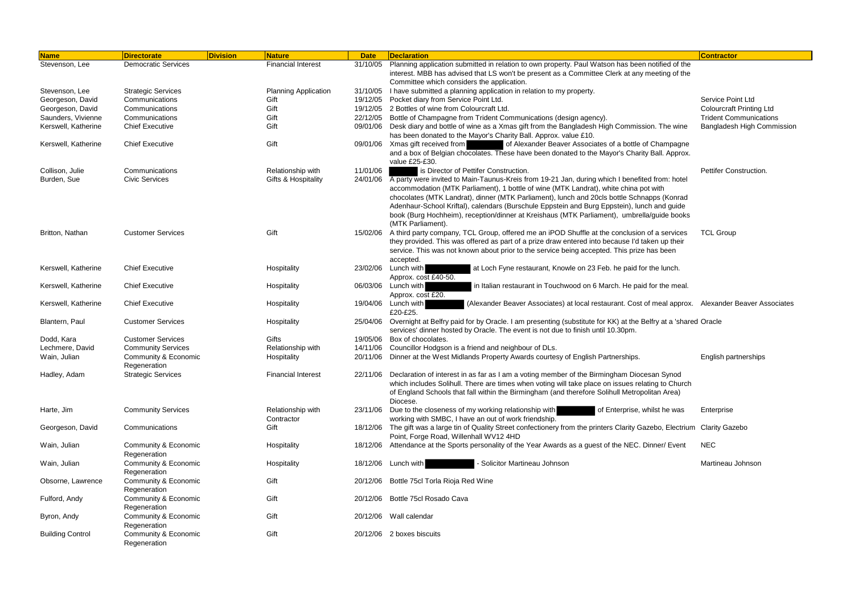| <b>Name</b>             | <b>Directorate</b>                   | <b>Division</b> | Nature                          | <b>Date</b> | <b>Declaration</b>                                                                                                                                                                                                                                                                                                                                                                                                                                                                | <b>Contractor</b>               |
|-------------------------|--------------------------------------|-----------------|---------------------------------|-------------|-----------------------------------------------------------------------------------------------------------------------------------------------------------------------------------------------------------------------------------------------------------------------------------------------------------------------------------------------------------------------------------------------------------------------------------------------------------------------------------|---------------------------------|
| Stevenson, Lee          | <b>Democratic Services</b>           |                 | <b>Financial Interest</b>       | 31/10/05    | Planning application submitted in relation to own property. Paul Watson has been notified of the<br>interest. MBB has advised that LS won't be present as a Committee Clerk at any meeting of the<br>Committee which considers the application.                                                                                                                                                                                                                                   |                                 |
| Stevenson, Lee          | <b>Strategic Services</b>            |                 | <b>Planning Application</b>     | 31/10/05    | I have submitted a planning application in relation to my property.                                                                                                                                                                                                                                                                                                                                                                                                               |                                 |
| Georgeson, David        | Communications                       |                 | Gift                            | 19/12/05    | Pocket diary from Service Point Ltd.                                                                                                                                                                                                                                                                                                                                                                                                                                              | Service Point Ltd               |
| Georgeson, David        | Communications                       |                 | Gift                            | 19/12/05    | 2 Bottles of wine from Colourcraft Ltd.                                                                                                                                                                                                                                                                                                                                                                                                                                           | <b>Colourcraft Printing Ltd</b> |
| Saunders, Vivienne      | Communications                       |                 | Gift                            | 22/12/05    | Bottle of Champagne from Trident Communications (design agency).                                                                                                                                                                                                                                                                                                                                                                                                                  | <b>Trident Communications</b>   |
| Kerswell, Katherine     | <b>Chief Executive</b>               |                 | Gift                            | 09/01/06    | Desk diary and bottle of wine as a Xmas gift from the Bangladesh High Commission. The wine                                                                                                                                                                                                                                                                                                                                                                                        | Bangladesh High Commission      |
|                         |                                      |                 |                                 |             | has been donated to the Mayor's Charity Ball. Approx. value £10.                                                                                                                                                                                                                                                                                                                                                                                                                  |                                 |
| Kerswell, Katherine     | <b>Chief Executive</b>               |                 | Gift                            | 09/01/06    | Xmas gift received from<br>of Alexander Beaver Associates of a bottle of Champagne<br>and a box of Belgian chocolates. These have been donated to the Mayor's Charity Ball. Approx.<br>value £25-£30.                                                                                                                                                                                                                                                                             |                                 |
| Collison, Julie         | Communications                       |                 | Relationship with               | 11/01/06    | is Director of Pettifer Construction.                                                                                                                                                                                                                                                                                                                                                                                                                                             | Pettifer Construction.          |
| Burden, Sue             | <b>Civic Services</b>                |                 | Gifts & Hospitality             | 24/01/06    | A party were invited to Main-Taunus-Kreis from 19-21 Jan, during which I benefited from: hotel<br>accommodation (MTK Parliament), 1 bottle of wine (MTK Landrat), white china pot with<br>chocolates (MTK Landrat), dinner (MTK Parliament), lunch and 20cls bottle Schnapps (Konrad<br>Adenhaur-School Kriftal), calendars (Burschule Eppstein and Burg Eppstein), lunch and guide<br>book (Burg Hochheim), reception/dinner at Kreishaus (MTK Parliament), umbrella/guide books |                                 |
| Britton, Nathan         | <b>Customer Services</b>             |                 | Gift                            | 15/02/06    | (MTK Parliament).<br>A third party company, TCL Group, offered me an iPOD Shuffle at the conclusion of a services<br>they provided. This was offered as part of a prize draw entered into because I'd taken up their<br>service. This was not known about prior to the service being accepted. This prize has been<br>accepted.                                                                                                                                                   | <b>TCL Group</b>                |
| Kerswell, Katherine     | <b>Chief Executive</b>               |                 | Hospitality                     | 23/02/06    | Lunch with<br>at Loch Fyne restaurant, Knowle on 23 Feb. he paid for the lunch.<br>Approx. cost £40-50.                                                                                                                                                                                                                                                                                                                                                                           |                                 |
| Kerswell, Katherine     | <b>Chief Executive</b>               |                 | Hospitality                     | 06/03/06    | Lunch with<br>in Italian restaurant in Touchwood on 6 March. He paid for the meal.<br>Approx. cost £20.                                                                                                                                                                                                                                                                                                                                                                           |                                 |
| Kerswell, Katherine     | <b>Chief Executive</b>               |                 | Hospitality                     | 19/04/06    | Lunch with<br>(Alexander Beaver Associates) at local restaurant. Cost of meal approx. Alexander Beaver Associates<br>£20-£25.                                                                                                                                                                                                                                                                                                                                                     |                                 |
| Blantern, Paul          | <b>Customer Services</b>             |                 | Hospitality                     | 25/04/06    | Overnight at Belfry paid for by Oracle. I am presenting (substitute for KK) at the Belfry at a 'shared Oracle<br>services' dinner hosted by Oracle. The event is not due to finish until 10.30pm.                                                                                                                                                                                                                                                                                 |                                 |
| Dodd, Kara              | <b>Customer Services</b>             |                 | Gifts                           | 19/05/06    | Box of chocolates.                                                                                                                                                                                                                                                                                                                                                                                                                                                                |                                 |
| Lechmere, David         | <b>Community Services</b>            |                 | Relationship with               | 14/11/06    | Councillor Hodgson is a friend and neighbour of DLs.                                                                                                                                                                                                                                                                                                                                                                                                                              |                                 |
| Wain, Julian            | Community & Economic<br>Regeneration |                 | Hospitality                     | 20/11/06    | Dinner at the West Midlands Property Awards courtesy of English Partnerships.                                                                                                                                                                                                                                                                                                                                                                                                     | English partnerships            |
| Hadley, Adam            | <b>Strategic Services</b>            |                 | <b>Financial Interest</b>       | 22/11/06    | Declaration of interest in as far as I am a voting member of the Birmingham Diocesan Synod                                                                                                                                                                                                                                                                                                                                                                                        |                                 |
|                         |                                      |                 |                                 |             | which includes Solihull. There are times when voting will take place on issues relating to Church<br>of England Schools that fall within the Birmingham (and therefore Solihull Metropolitan Area)<br>Diocese.                                                                                                                                                                                                                                                                    |                                 |
| Harte, Jim              | <b>Community Services</b>            |                 | Relationship with<br>Contractor | 23/11/06    | Due to the closeness of my working relationship with<br>of Enterprise, whilst he was<br>working with SMBC, I have an out of work friendship.                                                                                                                                                                                                                                                                                                                                      | Enterprise                      |
| Georgeson, David        | Communications                       |                 | Gift                            | 18/12/06    | The gift was a large tin of Quality Street confectionery from the printers Clarity Gazebo, Electrium Clarity Gazebo<br>Point, Forge Road, Willenhall WV12 4HD                                                                                                                                                                                                                                                                                                                     |                                 |
| Wain, Julian            | Community & Economic<br>Regeneration |                 | Hospitality                     | 18/12/06    | Attendance at the Sports personality of the Year Awards as a guest of the NEC. Dinner/ Event                                                                                                                                                                                                                                                                                                                                                                                      | <b>NEC</b>                      |
| Wain, Julian            | Community & Economic<br>Regeneration |                 | Hospitality                     |             | Solicitor Martineau Johnson<br>18/12/06 Lunch with                                                                                                                                                                                                                                                                                                                                                                                                                                | Martineau Johnson               |
| Obsorne, Lawrence       | Community & Economic<br>Regeneration |                 | Gift                            |             | 20/12/06 Bottle 75cl Torla Rioja Red Wine                                                                                                                                                                                                                                                                                                                                                                                                                                         |                                 |
| Fulford, Andy           | Community & Economic<br>Regeneration |                 | Gift                            |             | 20/12/06 Bottle 75cl Rosado Cava                                                                                                                                                                                                                                                                                                                                                                                                                                                  |                                 |
| Byron, Andy             | Community & Economic<br>Regeneration |                 | Gift                            |             | 20/12/06 Wall calendar                                                                                                                                                                                                                                                                                                                                                                                                                                                            |                                 |
| <b>Building Control</b> | Community & Economic<br>Regeneration |                 | Gift                            |             | 20/12/06 2 boxes biscuits                                                                                                                                                                                                                                                                                                                                                                                                                                                         |                                 |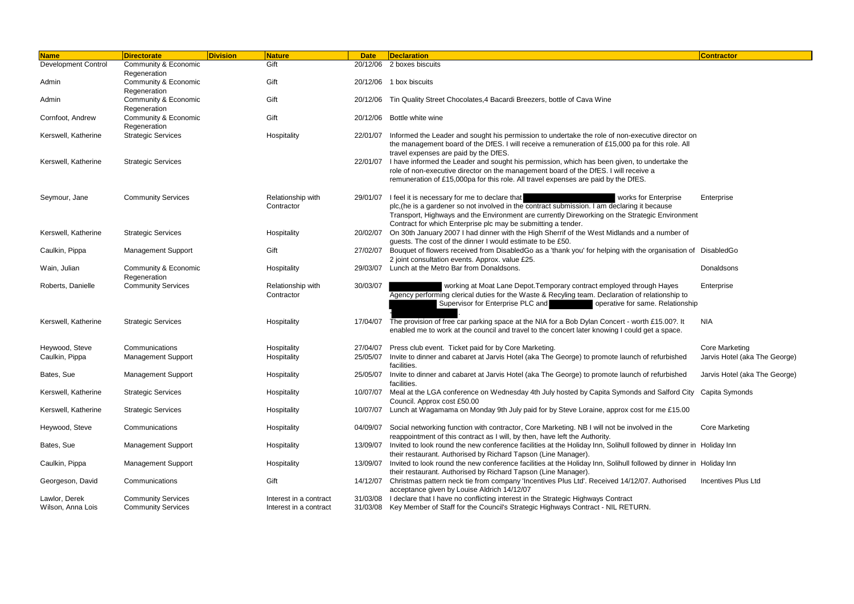| Name                       | <b>Division</b><br><b>Directorate</b> | <b>Nature</b>                   | <b>Date</b> | Declaration                                                                                                                                                                 | <b>Contractor</b>             |
|----------------------------|---------------------------------------|---------------------------------|-------------|-----------------------------------------------------------------------------------------------------------------------------------------------------------------------------|-------------------------------|
| <b>Development Control</b> | Community & Economic                  | Gift                            | 20/12/06    | 2 boxes biscuits                                                                                                                                                            |                               |
|                            | Regeneration                          |                                 |             |                                                                                                                                                                             |                               |
| Admin                      | Community & Economic<br>Regeneration  | Gift                            |             | 20/12/06 1 box biscuits                                                                                                                                                     |                               |
| Admin                      | Community & Economic                  | Gift                            |             | 20/12/06 Tin Quality Street Chocolates, 4 Bacardi Breezers, bottle of Cava Wine                                                                                             |                               |
|                            | Regeneration                          |                                 |             |                                                                                                                                                                             |                               |
| Cornfoot, Andrew           | Community & Economic                  | Gift                            |             | 20/12/06 Bottle white wine                                                                                                                                                  |                               |
|                            | Regeneration                          |                                 |             |                                                                                                                                                                             |                               |
| Kerswell, Katherine        | <b>Strategic Services</b>             | Hospitality                     | 22/01/07    | Informed the Leader and sought his permission to undertake the role of non-executive director on                                                                            |                               |
|                            |                                       |                                 |             | the management board of the DfES. I will receive a remuneration of £15,000 pa for this role. All<br>travel expenses are paid by the DfES.                                   |                               |
| Kerswell, Katherine        | <b>Strategic Services</b>             |                                 | 22/01/07    | I have informed the Leader and sought his permission, which has been given, to undertake the                                                                                |                               |
|                            |                                       |                                 |             | role of non-executive director on the management board of the DfES. I will receive a                                                                                        |                               |
|                            |                                       |                                 |             | remuneration of £15,000pa for this role. All travel expenses are paid by the DfES.                                                                                          |                               |
| Seymour, Jane              | <b>Community Services</b>             | Relationship with               | 29/01/07    | I feel it is necessary for me to declare that<br>works for Enterprise                                                                                                       | Enterprise                    |
|                            |                                       | Contractor                      |             | plc, (he is a gardener so not involved in the contract submission. I am declaring it because                                                                                |                               |
|                            |                                       |                                 |             | Transport, Highways and the Environment are currently Direworking on the Strategic Environment                                                                              |                               |
|                            |                                       |                                 |             | Contract for which Enterprise plc may be submitting a tender.                                                                                                               |                               |
| Kerswell, Katherine        | <b>Strategic Services</b>             | Hospitality                     | 20/02/07    | On 30th January 2007 I had dinner with the High Sherrif of the West Midlands and a number of<br>guests. The cost of the dinner I would estimate to be £50.                  |                               |
| Caulkin, Pippa             | <b>Management Support</b>             | Gift                            | 27/02/07    | Bouquet of flowers received from DisabledGo as a 'thank you' for helping with the organisation of DisabledGo                                                                |                               |
|                            |                                       |                                 |             | 2 joint consultation events. Approx. value £25.                                                                                                                             |                               |
| Wain, Julian               | Community & Economic                  | Hospitality                     | 29/03/07    | Lunch at the Metro Bar from Donaldsons.                                                                                                                                     | Donaldsons                    |
|                            | Regeneration                          |                                 |             |                                                                                                                                                                             |                               |
| Roberts, Danielle          | <b>Community Services</b>             | Relationship with<br>Contractor | 30/03/07    | working at Moat Lane Depot. Temporary contract employed through Hayes<br>Agency performing clerical duties for the Waste & Recyling team. Declaration of relationship to    | Enterprise                    |
|                            |                                       |                                 |             | Supervisor for Enterprise PLC and<br>operative for same. Relationship                                                                                                       |                               |
|                            |                                       |                                 |             |                                                                                                                                                                             |                               |
| Kerswell, Katherine        | <b>Strategic Services</b>             | Hospitality                     | 17/04/07    | The provision of free car parking space at the NIA for a Bob Dylan Concert - worth £15.00?. It                                                                              | <b>NIA</b>                    |
|                            |                                       |                                 |             | enabled me to work at the council and travel to the concert later knowing I could get a space.                                                                              |                               |
| Heywood, Steve             | Communications                        | Hospitality                     | 27/04/07    | Press club event. Ticket paid for by Core Marketing.                                                                                                                        | <b>Core Marketing</b>         |
| Caulkin, Pippa             | <b>Management Support</b>             | Hospitality                     | 25/05/07    | Invite to dinner and cabaret at Jarvis Hotel (aka The George) to promote launch of refurbished                                                                              | Jarvis Hotel (aka The George) |
|                            |                                       |                                 |             | facilities.                                                                                                                                                                 |                               |
| Bates, Sue                 | <b>Management Support</b>             | Hospitality                     | 25/05/07    | Invite to dinner and cabaret at Jarvis Hotel (aka The George) to promote launch of refurbished                                                                              | Jarvis Hotel (aka The George) |
| Kerswell, Katherine        | <b>Strategic Services</b>             | Hospitality                     | 10/07/07    | facilities.<br>Meal at the LGA conference on Wednesday 4th July hosted by Capita Symonds and Salford City Capita Symonds                                                    |                               |
|                            |                                       |                                 |             | Council. Approx cost £50.00                                                                                                                                                 |                               |
| Kerswell, Katherine        | <b>Strategic Services</b>             | Hospitality                     | 10/07/07    | Lunch at Wagamama on Monday 9th July paid for by Steve Loraine, approx cost for me £15.00                                                                                   |                               |
|                            |                                       |                                 |             |                                                                                                                                                                             |                               |
| Heywood, Steve             | Communications                        | Hospitality                     | 04/09/07    | Social networking function with contractor, Core Marketing. NB I will not be involved in the<br>reappointment of this contract as I will, by then, have left the Authority. | <b>Core Marketing</b>         |
| Bates, Sue                 | <b>Management Support</b>             | Hospitality                     | 13/09/07    | Invited to look round the new conference facilities at the Holiday Inn, Solihull followed by dinner in Holiday Inn                                                          |                               |
|                            |                                       |                                 |             | their restaurant. Authorised by Richard Tapson (Line Manager).                                                                                                              |                               |
| Caulkin, Pippa             | <b>Management Support</b>             | Hospitality                     | 13/09/07    | Invited to look round the new conference facilities at the Holiday Inn, Solihull followed by dinner in Holiday Inn                                                          |                               |
|                            |                                       |                                 |             | their restaurant. Authorised by Richard Tapson (Line Manager).                                                                                                              |                               |
| Georgeson, David           | Communications                        | Gift                            | 14/12/07    | Christmas pattern neck tie from company 'Incentives Plus Ltd'. Received 14/12/07. Authorised<br>acceptance given by Louise Aldrich 14/12/07                                 | <b>Incentives Plus Ltd</b>    |
| Lawlor, Derek              | <b>Community Services</b>             | Interest in a contract          | 31/03/08    | I declare that I have no conflicting interest in the Strategic Highways Contract                                                                                            |                               |
| Wilson, Anna Lois          | <b>Community Services</b>             | Interest in a contract          | 31/03/08    | Key Member of Staff for the Council's Strategic Highways Contract - NIL RETURN.                                                                                             |                               |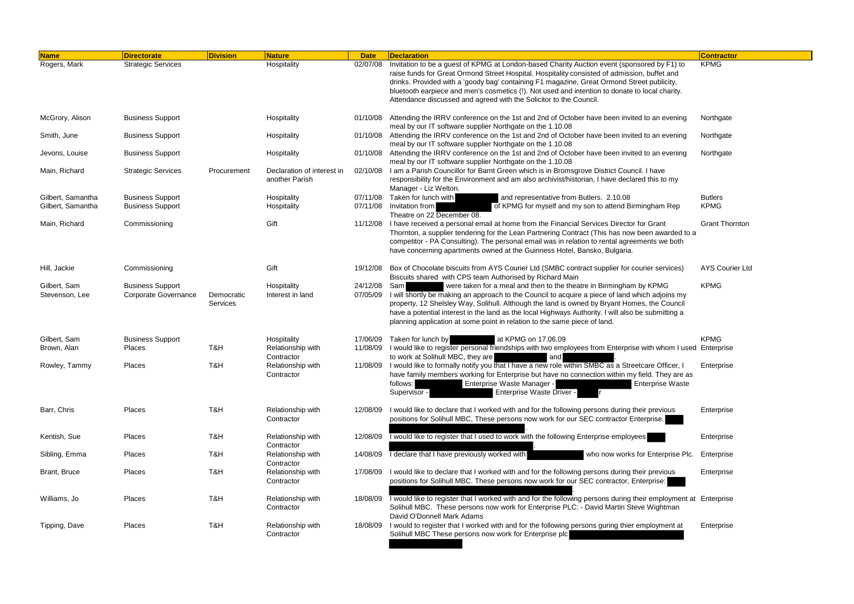| <b>Name</b>       | <b>Directorate</b>        | <b>Division</b> | <b>Nature</b>                                | <b>Date</b> | <b>Declaration</b>                                                                                                                                                                                                                                                                         | <b>Contractor</b>      |
|-------------------|---------------------------|-----------------|----------------------------------------------|-------------|--------------------------------------------------------------------------------------------------------------------------------------------------------------------------------------------------------------------------------------------------------------------------------------------|------------------------|
| Rogers, Mark      | <b>Strategic Services</b> |                 | Hospitality                                  | 02/07/08    | Invitation to be a guest of KPMG at London-based Charity Auction event (sponsored by F1) to                                                                                                                                                                                                | <b>KPMG</b>            |
|                   |                           |                 |                                              |             | raise funds for Great Ormond Street Hospital. Hospitality consisted of admission, buffet and<br>drinks. Provided with a 'goody bag' containing F1 magazine, Great Ormond Street publicity,                                                                                                 |                        |
|                   |                           |                 |                                              |             | bluetooth earpiece and men's cosmetics (!). Not used and intention to donate to local charity.<br>Attendance discussed and agreed with the Solicitor to the Council.                                                                                                                       |                        |
| McGrory, Alison   | <b>Business Support</b>   |                 | Hospitality                                  | 01/10/08    | Attending the IRRV conference on the 1st and 2nd of October have been invited to an evening<br>meal by our IT software supplier Northgate on the 1.10.08                                                                                                                                   | Northgate              |
| Smith, June       | <b>Business Support</b>   |                 | Hospitality                                  | 01/10/08    | Attending the IRRV conference on the 1st and 2nd of October have been invited to an evening<br>meal by our IT software supplier Northgate on the 1.10.08                                                                                                                                   | Northgate              |
| Jevons, Louise    | <b>Business Support</b>   |                 | Hospitality                                  | 01/10/08    | Attending the IRRV conference on the 1st and 2nd of October have been invited to an evening<br>meal by our IT software supplier Northgate on the 1.10.08                                                                                                                                   | Northgate              |
| Main, Richard     | <b>Strategic Services</b> | Procurement     | Declaration of interest in<br>another Parish | 02/10/08    | I am a Parish Councillor for Barnt Green which is in Bromsgrove District Council. I have<br>responsibility for the Environment and am also archivist/historian, I have declared this to my<br>Manager - Liz Welton.                                                                        |                        |
| Gilbert, Samantha | <b>Business Support</b>   |                 | Hospitality                                  | 07/11/08    | Taken for lunch with<br>and representative from Butlers. 2.10.08                                                                                                                                                                                                                           | <b>Butlers</b>         |
| Gilbert, Samantha | <b>Business Support</b>   |                 | Hospitality                                  | 07/11/08    | of KPMG for myself and my son to attend Birmingham Rep<br>Invitation from<br>Theatre on 22 December 08.                                                                                                                                                                                    | <b>KPMG</b>            |
| Main, Richard     | Commissioning             |                 | Gift                                         | 11/12/08    | I have received a personal email at home from the Financial Services Director for Grant<br>Thornton, a supplier tendering for the Lean Partnering Contract (This has now been awarded to a<br>competitor - PA Consulting). The personal email was in relation to rental agreements we both | <b>Grant Thornton</b>  |
|                   |                           |                 |                                              |             | have concerning apartments owned at the Guinness Hotel, Bansko, Bulgaria.                                                                                                                                                                                                                  |                        |
| Hill, Jackie      | Commissioning             |                 | Gift                                         | 19/12/08    | Box of Chocolate biscuits from AYS Courier Ltd (SMBC contract supplier for courier services)<br>Biscuits shared with CPS team Authorised by Richard Main                                                                                                                                   | <b>AYS Courier Ltd</b> |
| Gilbert, Sam      | <b>Business Support</b>   |                 | Hospitality                                  | 24/12/08    | were taken for a meal and then to the theatre in Birmingham by KPMG<br>Saml                                                                                                                                                                                                                | <b>KPMG</b>            |
| Stevenson, Lee    | Corporate Governance      | Democratic      | Interest in land                             | 07/05/09    | I will shortly be making an approach to the Council to acquire a piece of land which adjoins my                                                                                                                                                                                            |                        |
|                   |                           | Services        |                                              |             | property, 12 Shelsley Way, Solihull. Although the land is owned by Bryant Homes, the Council                                                                                                                                                                                               |                        |
|                   |                           |                 |                                              |             | have a potential interest in the land as the local Highways Authority. I will also be submitting a                                                                                                                                                                                         |                        |
|                   |                           |                 |                                              |             | planning application at some point in relation to the same piece of land.                                                                                                                                                                                                                  |                        |
|                   |                           |                 |                                              |             |                                                                                                                                                                                                                                                                                            |                        |
| Gilbert, Sam      | <b>Business Support</b>   |                 | Hospitality                                  | 17/06/09    | at KPMG on 17.06.09<br>Taken for lunch by                                                                                                                                                                                                                                                  | <b>KPMG</b>            |
| Brown, Alan       | Places                    | T&H             | Relationship with                            | 11/08/09    | I would like to register personal friendships with two employees from Enterprise with whom I used Enterprise                                                                                                                                                                               |                        |
|                   |                           |                 | Contractor                                   |             | to work at Solihull MBC, they are<br>and                                                                                                                                                                                                                                                   |                        |
| Rowley, Tammy     | Places                    | T&H             | Relationship with<br>Contractor              | 11/08/09    | I would like to formally notify you that I have a new role within SMBC as a Streetcare Officer, I                                                                                                                                                                                          | Enterprise             |
|                   |                           |                 |                                              |             | have family members working for Enterprise but have no connection within my field. They are as<br>Enterprise Waste Manager -<br><b>Enterprise Waste</b><br>follows:                                                                                                                        |                        |
|                   |                           |                 |                                              |             | Enterprise Waste Driver -<br>Supervisor -                                                                                                                                                                                                                                                  |                        |
|                   |                           |                 |                                              |             |                                                                                                                                                                                                                                                                                            |                        |
| Barr, Chris       | Places                    | T&H             | Relationship with<br>Contractor              | 12/08/09    | I would like to declare that I worked with and for the following persons during their previous<br>positions for Solihull MBC, These persons now work for our SEC contractor Enterprise.                                                                                                    | Enterprise             |
|                   |                           |                 |                                              |             |                                                                                                                                                                                                                                                                                            |                        |
| Kentish, Sue      | Places                    | T&H             | Relationship with<br>Contractor              |             | 12/08/09 Twould like to register that I used to work with the following Enterprise employees                                                                                                                                                                                               | Enterprise             |
| Sibling, Emma     | Places                    | T&H             | Relationship with<br>Contractor              | 14/08/09    | I declare that I have previously worked with<br>who now works for Enterprise Plc.                                                                                                                                                                                                          | Enterprise             |
| Brant, Bruce      | Places                    | T&H             | Relationship with                            | 17/08/09    | I would like to declare that I worked with and for the following persons during their previous                                                                                                                                                                                             | Enterprise             |
|                   |                           |                 | Contractor                                   |             | positions for Solihull MBC. These persons now work for our SEC contractor, Enterprise:                                                                                                                                                                                                     |                        |
| Williams, Jo      | Places                    | T&H             | Relationship with                            |             | 18/08/09 Twould like to register that I worked with and for the following persons during their employment at Enterprise                                                                                                                                                                    |                        |
|                   |                           |                 | Contractor                                   |             | Solihull MBC. These persons now work for Enterprise PLC: - David Martin Steve Wightman                                                                                                                                                                                                     |                        |
|                   |                           |                 |                                              |             | David O'Donnell Mark Adams                                                                                                                                                                                                                                                                 |                        |
| Tipping, Dave     | Places                    | T&H             | Relationship with                            | 18/08/09    | I would to register that I worked with and for the following persons guring thier employment at                                                                                                                                                                                            | Enterprise             |
|                   |                           |                 | Contractor                                   |             | Solihull MBC These persons now work for Enterprise plc                                                                                                                                                                                                                                     |                        |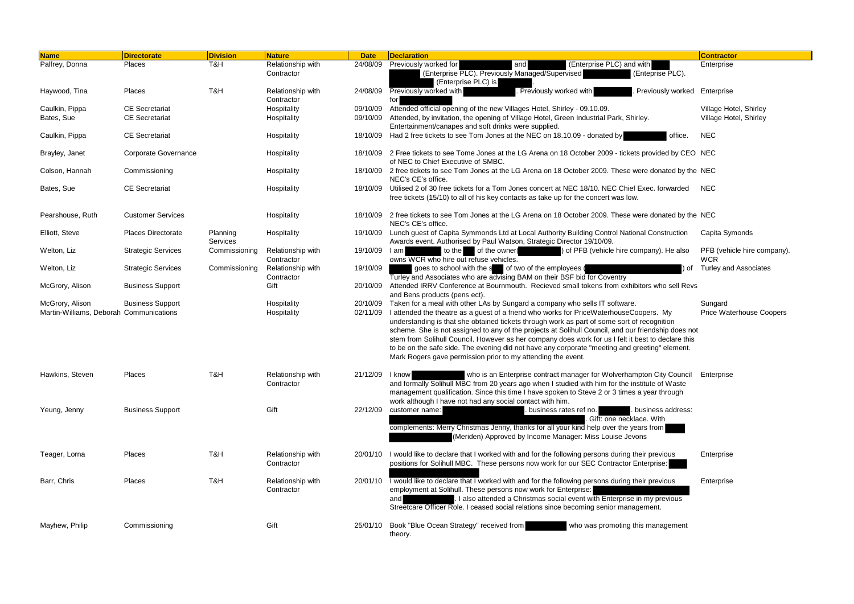| <b>Name</b>                                                | <b>Directorate</b>          | <b>Division</b>      | <b>Nature</b>                   | <b>Date</b>     | <b>Declaration</b>                                                                                                                                                                                                                                                                                                                                                                                                                                                                                                                                                                                                                                           | <b>Contractor</b>                          |
|------------------------------------------------------------|-----------------------------|----------------------|---------------------------------|-----------------|--------------------------------------------------------------------------------------------------------------------------------------------------------------------------------------------------------------------------------------------------------------------------------------------------------------------------------------------------------------------------------------------------------------------------------------------------------------------------------------------------------------------------------------------------------------------------------------------------------------------------------------------------------------|--------------------------------------------|
| Palfrey, Donna                                             | Places                      | T&H                  | Relationship with               | 24/08/09        | Previously worked for<br>(Enterprise PLC) and with<br>and                                                                                                                                                                                                                                                                                                                                                                                                                                                                                                                                                                                                    | Enterprise                                 |
|                                                            |                             |                      | Contractor                      |                 | (Enterprise PLC). Previously Managed/Supervised<br>(Enteprise PLC).<br>(Enterprise PLC) is                                                                                                                                                                                                                                                                                                                                                                                                                                                                                                                                                                   |                                            |
| Haywood, Tina                                              | Places                      | T&H                  | Relationship with<br>Contractor | 24/08/09        | . Previously worked with<br><b>Previously worked with</b><br>Previously worked Enterprise<br>for                                                                                                                                                                                                                                                                                                                                                                                                                                                                                                                                                             |                                            |
| Caulkin, Pippa                                             | <b>CE Secretariat</b>       |                      | Hospitality                     | 09/10/09        | Attended official opening of the new Villages Hotel, Shirley - 09.10.09.                                                                                                                                                                                                                                                                                                                                                                                                                                                                                                                                                                                     | Village Hotel, Shirley                     |
| Bates, Sue                                                 | <b>CE Secretariat</b>       |                      | Hospitality                     | 09/10/09        | Attended, by invitation, the opening of Village Hotel, Green Industrial Park, Shirley.<br>Entertainment/canapes and soft drinks were supplied.                                                                                                                                                                                                                                                                                                                                                                                                                                                                                                               | Village Hotel, Shirley                     |
| Caulkin, Pippa                                             | <b>CE Secretariat</b>       |                      | Hospitality                     |                 | 18/10/09 Had 2 free tickets to see Tom Jones at the NEC on 18.10.09 - donated by<br>office.                                                                                                                                                                                                                                                                                                                                                                                                                                                                                                                                                                  | <b>NEC</b>                                 |
| Brayley, Janet                                             | <b>Corporate Governance</b> |                      | Hospitality                     |                 | 18/10/09 2 Free tickets to see Tome Jones at the LG Arena on 18 October 2009 - tickets provided by CEO NEC<br>of NEC to Chief Executive of SMBC.                                                                                                                                                                                                                                                                                                                                                                                                                                                                                                             |                                            |
| Colson, Hannah                                             | Commissioning               |                      | Hospitality                     |                 | 18/10/09 2 free tickets to see Tom Jones at the LG Arena on 18 October 2009. These were donated by the NEC<br>NEC's CE's office.                                                                                                                                                                                                                                                                                                                                                                                                                                                                                                                             |                                            |
| Bates, Sue                                                 | <b>CE Secretariat</b>       |                      | Hospitality                     | 18/10/09        | Utilised 2 of 30 free tickets for a Tom Jones concert at NEC 18/10. NEC Chief Exec. forwarded<br>free tickets (15/10) to all of his key contacts as take up for the concert was low.                                                                                                                                                                                                                                                                                                                                                                                                                                                                         | <b>NEC</b>                                 |
| Pearshouse, Ruth                                           | <b>Customer Services</b>    |                      | Hospitality                     | 18/10/09        | 2 free tickets to see Tom Jones at the LG Arena on 18 October 2009. These were donated by the NEC<br>NEC's CE's office.                                                                                                                                                                                                                                                                                                                                                                                                                                                                                                                                      |                                            |
| Elliott, Steve                                             | <b>Places Directorate</b>   | Planning<br>Services | Hospitality                     |                 | 19/10/09 Lunch guest of Capita Symmonds Ltd at Local Authority Building Control National Construction<br>Awards event. Authorised by Paul Watson, Strategic Director 19/10/09.                                                                                                                                                                                                                                                                                                                                                                                                                                                                               | Capita Symonds                             |
| Welton, Liz                                                | <b>Strategic Services</b>   | Commissioning        | Relationship with<br>Contractor | 19/10/09        | to the of the owner<br>) of PFB (vehicle hire company). He also<br>I am<br>owns WCR who hire out refuse vehicles.                                                                                                                                                                                                                                                                                                                                                                                                                                                                                                                                            | PFB (vehicle hire company).<br><b>WCR</b>  |
| Welton, Liz                                                | <b>Strategic Services</b>   | Commissioning        | Relationship with<br>Contractor | 19/10/09        | goes to school with the s of two of the employees (<br>) of<br>Turley and Associates who are advising BAM on their BSF bid for Coventry                                                                                                                                                                                                                                                                                                                                                                                                                                                                                                                      | <b>Turley and Associates</b>               |
| McGrory, Alison                                            | <b>Business Support</b>     |                      | Gift                            | 20/10/09        | Attended IRRV Conference at Bournmouth. Recieved small tokens from exhibitors who sell Revs<br>and Bens products (pens ect).                                                                                                                                                                                                                                                                                                                                                                                                                                                                                                                                 |                                            |
| McGrory, Alison<br>Martin-Williams, Deborah Communications | <b>Business Support</b>     |                      | Hospitality<br>Hospitality      | 02/11/09        | 20/10/09 Taken for a meal with other LAs by Sungard a company who sells IT software.<br>I attended the theatre as a guest of a friend who works for PriceWaterhouseCoopers. My<br>understanding is that she obtained tickets through work as part of some sort of recognition<br>scheme. She is not assigned to any of the projects at Solihull Council, and our friendship does not<br>stem from Solihull Council. However as her company does work for us I felt it best to declare this<br>to be on the safe side. The evening did not have any corporate "meeting and greeting" element.<br>Mark Rogers gave permission prior to my attending the event. | Sungard<br><b>Price Waterhouse Coopers</b> |
| Hawkins, Steven                                            | Places                      | T&H                  | Relationship with<br>Contractor | 21/12/09   know | who is an Enterprise contract manager for Wolverhampton City Council<br>and formally Solihull MBC from 20 years ago when I studied with him for the institute of Waste<br>management qualification. Since this time I have spoken to Steve 2 or 3 times a year through<br>work although I have not had any social contact with him.                                                                                                                                                                                                                                                                                                                          | Enterprise                                 |
| Yeung, Jenny                                               | <b>Business Support</b>     |                      | Gift                            | 22/12/09        | customer name:<br>. business rates ref no.<br>business address:<br>Gift: one necklace. With<br>complements: Merry Christmas Jenny, thanks for all your kind help over the years from<br>(Meriden) Approved by Income Manager: Miss Louise Jevons                                                                                                                                                                                                                                                                                                                                                                                                             |                                            |
| Teager, Lorna                                              | Places                      | T&H                  | Relationship with<br>Contractor |                 | 20/01/10 I would like to declare that I worked with and for the following persons during their previous<br>positions for Solihull MBC. These persons now work for our SEC Contractor Enterprise:                                                                                                                                                                                                                                                                                                                                                                                                                                                             | Enterprise                                 |
| Barr, Chris                                                | Places                      | T&H                  | Relationship with<br>Contractor |                 | 20/01/10 Twould like to declare that I worked with and for the following persons during their previous<br>employment at Solihull. These persons now work for Enterprise:<br>I also attended a Christmas social event with Enterprise in my previous<br>andl<br>Streetcare Officer Role. I ceased social relations since becoming senior management.                                                                                                                                                                                                                                                                                                          | Enterprise                                 |
| Mayhew, Philip                                             | Commissioning               |                      | Gift                            |                 | 25/01/10 Book "Blue Ocean Strategy" received from<br>who was promoting this management<br>theory.                                                                                                                                                                                                                                                                                                                                                                                                                                                                                                                                                            |                                            |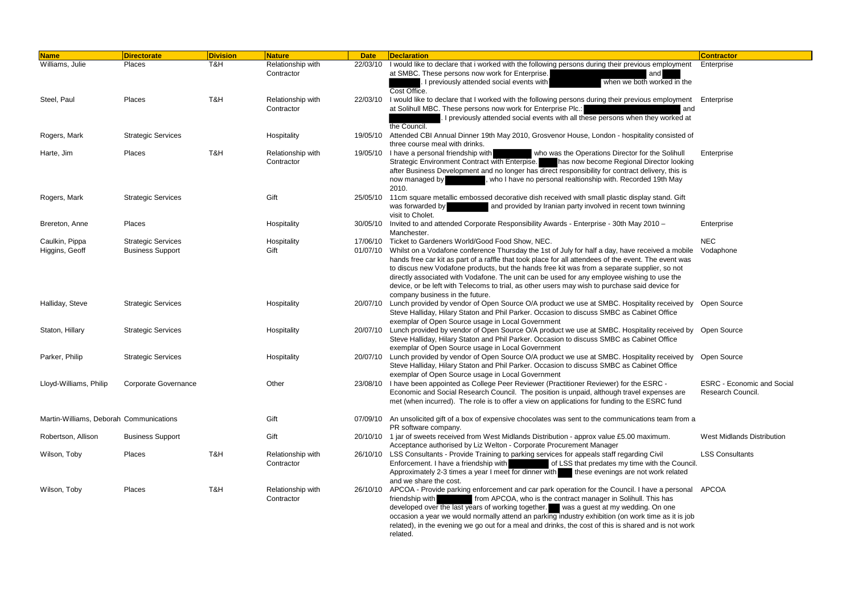| <b>Name</b>                             | <b>Directorate</b>                                   | <b>Division</b> | Nature                          | <b>Date</b> | <b>Declaration</b>                                                                                                                                                                                                                                                                                                                                                                                                                                                                                                                                                                                              | <b>Contractor</b>                                      |
|-----------------------------------------|------------------------------------------------------|-----------------|---------------------------------|-------------|-----------------------------------------------------------------------------------------------------------------------------------------------------------------------------------------------------------------------------------------------------------------------------------------------------------------------------------------------------------------------------------------------------------------------------------------------------------------------------------------------------------------------------------------------------------------------------------------------------------------|--------------------------------------------------------|
| Williams, Julie                         | Places                                               | T&H             | Relationship with<br>Contractor | 22/03/10    | I would like to declare that i worked with the following persons during their previous employment<br>at SMBC. These persons now work for Enterprise.<br>and<br>when we both worked in the<br>I previously attended social events with<br>Cost Office.                                                                                                                                                                                                                                                                                                                                                           | Enterprise                                             |
| Steel, Paul                             | Places                                               | T&H             | Relationship with<br>Contractor | 22/03/10    | I would like to declare that I worked with the following persons during their previous employment Enterprise<br>at Solihull MBC. These persons now work for Enterprise Plc.:<br>and<br>I previously attended social events with all these persons when they worked at                                                                                                                                                                                                                                                                                                                                           |                                                        |
| Rogers, Mark                            | <b>Strategic Services</b>                            |                 | Hospitality                     | 19/05/10    | the Council.<br>Attended CBI Annual Dinner 19th May 2010, Grosvenor House, London - hospitality consisted of<br>three course meal with drinks.                                                                                                                                                                                                                                                                                                                                                                                                                                                                  |                                                        |
| Harte, Jim                              | Places                                               | T&H             | Relationship with<br>Contractor |             | 19/05/10 I have a personal friendship with<br>who was the Operations Director for the Solihull<br>Strategic Environment Contract with Enterpise.<br>has now become Regional Director looking<br>after Business Development and no longer has direct responsibility for contract delivery, this is<br>who I have no personal realtionship with. Recorded 19th May<br>now managed by<br>2010.                                                                                                                                                                                                                     | Enterprise                                             |
| Rogers, Mark                            | <b>Strategic Services</b>                            |                 | Gift                            |             | 25/05/10 11cm square metallic embossed decorative dish received with small plastic display stand. Gift<br>and provided by Iranian party involved in recent town twinning<br>was forwarded by<br>visit to Cholet.                                                                                                                                                                                                                                                                                                                                                                                                |                                                        |
| Brereton, Anne                          | Places                                               |                 | Hospitality                     | 30/05/10    | Invited to and attended Corporate Responsibility Awards - Enterprise - 30th May 2010 -<br>Manchester.                                                                                                                                                                                                                                                                                                                                                                                                                                                                                                           | Enterprise                                             |
| Caulkin, Pippa<br>Higgins, Geoff        | <b>Strategic Services</b><br><b>Business Support</b> |                 | Hospitality<br>Gift             |             | 17/06/10 Ticket to Gardeners World/Good Food Show, NEC.<br>01/07/10 Whilst on a Vodafone conference Thursday the 1st of July for half a day, have received a mobile<br>hands free car kit as part of a raffle that took place for all attendees of the event. The event was<br>to discus new Vodafone products, but the hands free kit was from a separate supplier, so not<br>directly associated with Vodafone. The unit can be used for any employee wishing to use the<br>device, or be left with Telecoms to trial, as other users may wish to purchase said device for<br>company business in the future. | <b>NEC</b><br>Vodaphone                                |
| Halliday, Steve                         | <b>Strategic Services</b>                            |                 | Hospitality                     |             | 20/07/10 Lunch provided by vendor of Open Source O/A product we use at SMBC. Hospitality received by Open Source<br>Steve Halliday, Hilary Staton and Phil Parker. Occasion to discuss SMBC as Cabinet Office<br>exemplar of Open Source usage in Local Government                                                                                                                                                                                                                                                                                                                                              |                                                        |
| Staton, Hillary                         | <b>Strategic Services</b>                            |                 | Hospitality                     |             | 20/07/10 Lunch provided by vendor of Open Source O/A product we use at SMBC. Hospitality received by Open Source<br>Steve Halliday, Hilary Staton and Phil Parker. Occasion to discuss SMBC as Cabinet Office<br>exemplar of Open Source usage in Local Government                                                                                                                                                                                                                                                                                                                                              |                                                        |
| Parker, Philip                          | <b>Strategic Services</b>                            |                 | Hospitality                     | 20/07/10    | Lunch provided by vendor of Open Source O/A product we use at SMBC. Hospitality received by Open Source<br>Steve Halliday, Hilary Staton and Phil Parker. Occasion to discuss SMBC as Cabinet Office<br>exemplar of Open Source usage in Local Government                                                                                                                                                                                                                                                                                                                                                       |                                                        |
| Lloyd-Williams, Philip                  | <b>Corporate Governance</b>                          |                 | Other                           |             | 23/08/10 I have been appointed as College Peer Reviewer (Practitioner Reviewer) for the ESRC -<br>Economic and Social Research Council. The position is unpaid, although travel expenses are<br>met (when incurred). The role is to offer a view on applications for funding to the ESRC fund                                                                                                                                                                                                                                                                                                                   | <b>ESRC - Economic and Social</b><br>Research Council. |
| Martin-Williams, Deborah Communications |                                                      |                 | Gift                            |             | 07/09/10 An unsolicited gift of a box of expensive chocolates was sent to the communications team from a<br>PR software company.                                                                                                                                                                                                                                                                                                                                                                                                                                                                                |                                                        |
| Robertson, Allison                      | <b>Business Support</b>                              |                 | Gift                            |             | 20/10/10 1 jar of sweets received from West Midlands Distribution - approx value £5.00 maximum.<br>Acceptance authorised by Liz Welton - Corporate Procurement Manager                                                                                                                                                                                                                                                                                                                                                                                                                                          | <b>West Midlands Distribution</b>                      |
| Wilson, Toby                            | Places                                               | T&H             | Relationship with<br>Contractor |             | 26/10/10 LSS Consultants - Provide Training to parking services for appeals staff regarding Civil<br>Enforcement. I have a friendship with<br>of LSS that predates my time with the Council.<br>Approximately 2-3 times a year I meet for dinner with these evenings are not work related<br>and we share the cost.                                                                                                                                                                                                                                                                                             | <b>LSS Consultants</b>                                 |
| Wilson, Toby                            | Places                                               | T&H             | Relationship with<br>Contractor |             | 26/10/10 APCOA - Provide parking enforcement and car park operation for the Council. I have a personal APCOA<br>from APCOA, who is the contract manager in Solihull. This has<br>friendship with<br>developed over the last years of working together. Was a guest at my wedding. On one<br>occasion a year we would normally attend an parking industry exhibition (on work time as it is job<br>related), in the evening we go out for a meal and drinks, the cost of this is shared and is not work<br>related.                                                                                              |                                                        |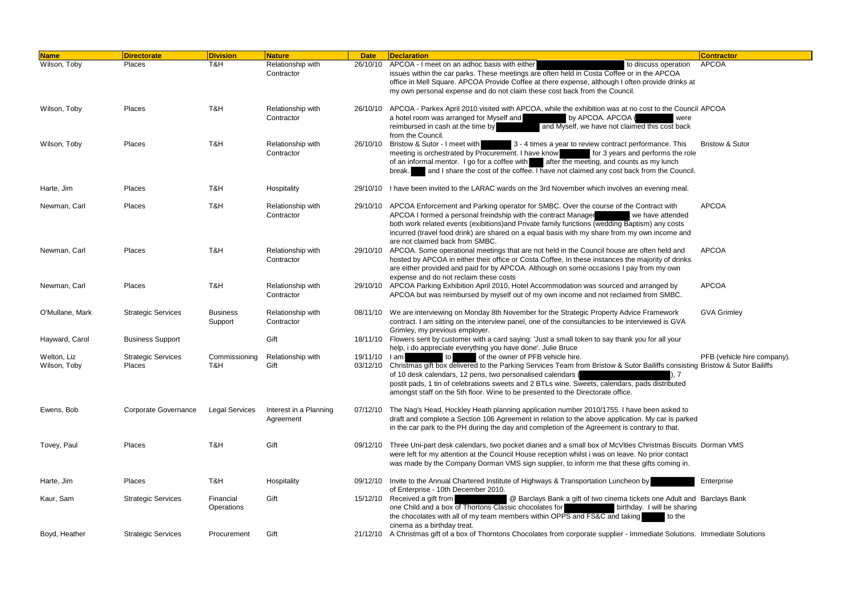| <b>Name</b>                 | Directorate                                | <b>Division</b>            | <b>Nature</b>                       | <b>Date</b>  | <b>Declaration</b>                                                                                                                                                                                                                                                                                                                                                                                                                  | <b>Contractor</b>           |
|-----------------------------|--------------------------------------------|----------------------------|-------------------------------------|--------------|-------------------------------------------------------------------------------------------------------------------------------------------------------------------------------------------------------------------------------------------------------------------------------------------------------------------------------------------------------------------------------------------------------------------------------------|-----------------------------|
| Wilson, Toby                | Places                                     | T&H                        | Relationship with<br>Contractor     | 26/10/10     | APCOA - I meet on an adhoc basis with either<br>to discuss operation<br>issues within the car parks. These meetings are often held in Costa Coffee or in the APCOA<br>office in Mell Square. APCOA Provide Coffee at there expense, although I often provide drinks at<br>my own personal expense and do not claim these cost back from the Council.                                                                                | <b>APCOA</b>                |
| Wilson, Toby                | Places                                     | T&H                        | Relationship with<br>Contractor     | 26/10/10     | APCOA - Parkex April 2010 visited with APCOA, while the exhibition was at no cost to the Council APCOA<br>a hotel room was arranged for Myself and<br>by APCOA. APCOA (<br>were<br>reimbursed in cash at the time by<br>and Myself, we have not claimed this cost back<br>from the Council                                                                                                                                          |                             |
| Wilson, Toby                | Places                                     | T&H                        | Relationship with<br>Contractor     | 26/10/10     | Bristow & Sutor - I meet with<br>3 - 4 times a year to review contract performance. This<br>meeting is orchestrated by Procurement. I have know<br>for 3 years and performs the role<br>of an informal mentor. I go for a coffee with after the meeting, and counts as my lunch<br>and I share the cost of the coffee. I have not claimed any cost back from the Council.<br>break.                                                 | <b>Bristow &amp; Sutor</b>  |
| Harte, Jim                  | Places                                     | T&H                        | Hospitality                         |              | 29/10/10 I have been invited to the LARAC wards on the 3rd November which involves an evening meal.                                                                                                                                                                                                                                                                                                                                 |                             |
| Newman, Carl                | Places                                     | T&H                        | Relationship with<br>Contractor     |              | 29/10/10 APCOA Enforcement and Parking operator for SMBC. Over the course of the Contract with<br>APCOA I formed a personal freindship with the contract Manager<br>we have attended<br>both work related events (exibitions) and Private family functions (wedding Baptism) any costs<br>incurred (travel food drink) are shared on a equal basis with my share from my own income and<br>are not claimed back from SMBC.          | <b>APCOA</b>                |
| Newman, Carl                | Places                                     | T&H                        | Relationship with<br>Contractor     | 29/10/10     | APCOA. Some operational meetings that are not held in the Council house are often held and<br>hosted by APCOA in either their office or Costa Coffee, In these instances the majority of drinks<br>are either provided and paid for by APCOA. Although on some occasions I pay from my own<br>expense and do not reclaim these costs                                                                                                | <b>APCOA</b>                |
| Newman, Carl                | Places                                     | T&H                        | Relationship with<br>Contractor     |              | 29/10/10 APCOA Parking Exhibition April 2010, Hotel Accommodation was sourced and arranged by<br>APCOA but was reimbursed by myself out of my own income and not reclaimed from SMBC.                                                                                                                                                                                                                                               | <b>APCOA</b>                |
| O'Mullane, Mark             | <b>Strategic Services</b>                  | <b>Business</b><br>Support | Relationship with<br>Contractor     |              | 08/11/10 We are interviewing on Monday 8th November for the Strategic Property Advice Framework<br>contract. I am sitting on the interview panel, one of the consultancies to be interviewed is GVA<br>Grimley, my previous employer.                                                                                                                                                                                               | <b>GVA Grimley</b>          |
| Hayward, Carol              | <b>Business Support</b>                    |                            | Gift                                |              | 18/11/10 Flowers sent by customer with a card saying: 'Just a small token to say thank you for all your<br>help, i do appreciate everything you have done'. Julie Bruce                                                                                                                                                                                                                                                             |                             |
| Welton, Liz<br>Wilson, Toby | <b>Strategic Services</b><br><b>Places</b> | Commissioning<br>T&H       | Relationship with<br>Gift           | 19/11/10 lam | of the owner of PFB vehicle hire.<br>to<br>03/12/10 Christmas gift box delivered to the Parking Services Team from Bristow & Sutor Bailiffs consisting Bristow & Sutor Bailiffs<br>of 10 desk calendars, 12 pens, two personalised calendars (<br>postit pads, 1 tin of celebrations sweets and 2 BTLs wine. Sweets, calendars, pads distributed<br>amongst staff on the 5th floor. Wine to be presented to the Directorate office. | PFB (vehicle hire company). |
| Ewens, Bob                  | Corporate Governance                       | <b>Legal Services</b>      | Interest in a Planning<br>Agreement |              | 07/12/10 The Nag's Head, Hockley Heath planning application number 2010/1755. I have been asked to<br>draft and complete a Section 106 Agreement in relation to the above application. My car is parked<br>in the car park to the PH during the day and completion of the Agreement is contrary to that.                                                                                                                            |                             |
| Tovey, Paul                 | Places                                     | T&H                        | Gift                                |              | 09/12/10 Three Uni-part desk calendars, two pocket diaries and a small box of McVities Christmas Biscuits Dorman VMS<br>were left for my attention at the Council House reception whilst i was on leave. No prior contact<br>was made by the Company Dorman VMS sign supplier, to inform me that these gifts coming in.                                                                                                             |                             |
| Harte, Jim                  | <b>Places</b>                              | T&H                        | Hospitality                         |              | 09/12/10 Invite to the Annual Chartered Institute of Highways & Transportation Luncheon by<br>of Enterprise - 10th December 2010.                                                                                                                                                                                                                                                                                                   | Enterprise                  |
| Kaur, Sam                   | <b>Strategic Services</b>                  | Financial<br>Operations    | Gift                                |              | 15/12/10 Received a gift from<br>@ Barclays Bank a gift of two cinema tickets one Adult and Barclays Bank<br>one Child and a box of Thortons Classic chocolates for<br>birthday. I will be sharing<br>the chocolates with all of my team members within OPPS and FS&C and taking<br>to the<br>cinema as a birthday treat.                                                                                                           |                             |
| Boyd, Heather               | <b>Strategic Services</b>                  | Procurement                | Gift                                |              | 21/12/10 A Christmas gift of a box of Thorntons Chocolates from corporate supplier - Immediate Solutions. Immediate Solutions                                                                                                                                                                                                                                                                                                       |                             |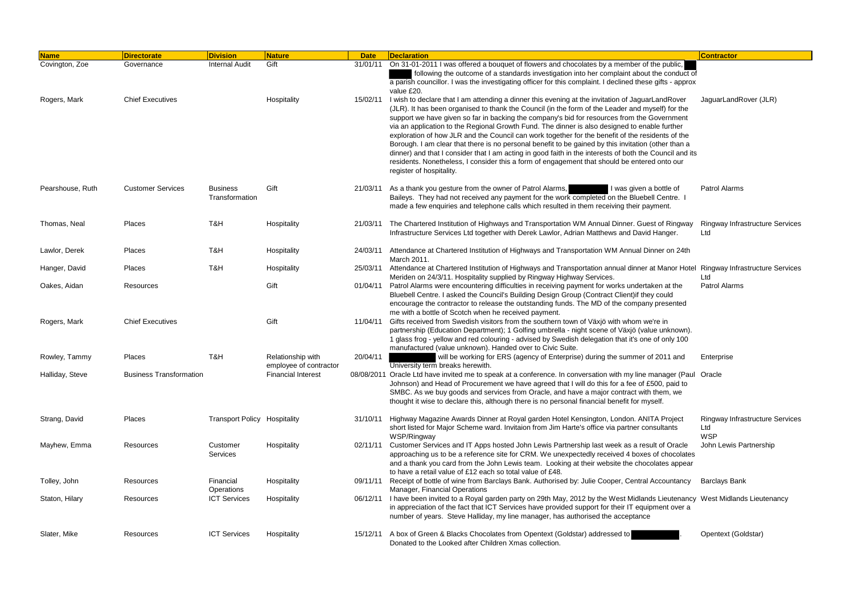| <b>Name</b>      | <b>Directorate</b>             | <b>Division</b>                     | <b>Nature</b>                               | <b>Date</b> | Declaration                                                                                                                                                                                                                                                                                                                                                                                                                                                                                                                                     | <b>Contractor</b>                                           |
|------------------|--------------------------------|-------------------------------------|---------------------------------------------|-------------|-------------------------------------------------------------------------------------------------------------------------------------------------------------------------------------------------------------------------------------------------------------------------------------------------------------------------------------------------------------------------------------------------------------------------------------------------------------------------------------------------------------------------------------------------|-------------------------------------------------------------|
| Covington, Zoe   | Governance                     | <b>Internal Audit</b>               | Gift                                        |             | 31/01/11 On 31-01-2011 I was offered a bouquet of flowers and chocolates by a member of the public,                                                                                                                                                                                                                                                                                                                                                                                                                                             |                                                             |
|                  |                                |                                     |                                             |             | following the outcome of a standards investigation into her complaint about the conduct of<br>a parish councillor. I was the investigating officer for this complaint. I declined these gifts - approx                                                                                                                                                                                                                                                                                                                                          |                                                             |
| Rogers, Mark     | <b>Chief Executives</b>        |                                     | Hospitality                                 | 15/02/11    | value £20.<br>I wish to declare that I am attending a dinner this evening at the invitation of JaguarLandRover<br>(JLR). It has been organised to thank the Council (in the form of the Leader and myself) for the<br>support we have given so far in backing the company's bid for resources from the Government                                                                                                                                                                                                                               | JaguarLandRover (JLR)                                       |
|                  |                                |                                     |                                             |             | via an application to the Regional Growth Fund. The dinner is also designed to enable further<br>exploration of how JLR and the Council can work together for the benefit of the residents of the<br>Borough. I am clear that there is no personal benefit to be gained by this invitation (other than a<br>dinner) and that I consider that I am acting in good faith in the interests of both the Council and its<br>residents. Nonetheless, I consider this a form of engagement that should be entered onto our<br>register of hospitality. |                                                             |
| Pearshouse, Ruth | <b>Customer Services</b>       | <b>Business</b><br>Transformation   | Gift                                        | 21/03/11    | As a thank you gesture from the owner of Patrol Alarms,<br>I was given a bottle of<br>Baileys. They had not received any payment for the work completed on the Bluebell Centre. I<br>made a few enquiries and telephone calls which resulted in them receiving their payment.                                                                                                                                                                                                                                                                   | <b>Patrol Alarms</b>                                        |
| Thomas, Neal     | Places                         | T&H                                 | Hospitality                                 | 21/03/11    | The Chartered Institution of Highways and Transportation WM Annual Dinner. Guest of Ringway<br>Infrastructure Services Ltd together with Derek Lawlor, Adrian Matthews and David Hanger.                                                                                                                                                                                                                                                                                                                                                        | <b>Ringway Infrastructure Services</b><br>Ltd               |
| Lawlor, Derek    | Places                         | T&H                                 | Hospitality                                 | 24/03/11    | Attendance at Chartered Institution of Highways and Transportation WM Annual Dinner on 24th<br>March 2011.                                                                                                                                                                                                                                                                                                                                                                                                                                      |                                                             |
| Hanger, David    | Places                         | T&H                                 | Hospitality                                 | 25/03/11    | Attendance at Chartered Institution of Highways and Transportation annual dinner at Manor Hotel Ringway Infrastructure Services<br>Meriden on 24/3/11. Hospitality supplied by Ringway Highway Services.                                                                                                                                                                                                                                                                                                                                        | Ltd                                                         |
| Oakes, Aidan     | Resources                      |                                     | Gift                                        | 01/04/11    | Patrol Alarms were encountering difficulties in receiving payment for works undertaken at the<br>Bluebell Centre. I asked the Council's Building Design Group (Contract Client) if they could<br>encourage the contractor to release the outstanding funds. The MD of the company presented<br>me with a bottle of Scotch when he received payment.                                                                                                                                                                                             | <b>Patrol Alarms</b>                                        |
| Rogers, Mark     | <b>Chief Executives</b>        |                                     | Gift                                        | 11/04/11    | Gifts received from Swedish visitors from the southern town of Växjö with whom we're in<br>partnership (Education Department); 1 Golfing umbrella - night scene of Växjö (value unknown).<br>1 glass frog - yellow and red colouring - advised by Swedish delegation that it's one of only 100<br>manufactured (value unknown). Handed over to Civic Suite.                                                                                                                                                                                     |                                                             |
| Rowley, Tammy    | Places                         | T&H                                 | Relationship with<br>employee of contractor | 20/04/11    | will be working for ERS (agency of Enterprise) during the summer of 2011 and<br>University term breaks herewith.                                                                                                                                                                                                                                                                                                                                                                                                                                | Enterprise                                                  |
| Halliday, Steve  | <b>Business Transformation</b> |                                     | <b>Financial Interest</b>                   |             | 08/08/2011 Oracle Ltd have invited me to speak at a conference. In conversation with my line manager (Paul Oracle<br>Johnson) and Head of Procurement we have agreed that I will do this for a fee of £500, paid to<br>SMBC. As we buy goods and services from Oracle, and have a major contract with them, we<br>thought it wise to declare this, although there is no personal financial benefit for myself.                                                                                                                                  |                                                             |
| Strang, David    | Places                         | <b>Transport Policy Hospitality</b> |                                             | 31/10/11    | Highway Magazine Awards Dinner at Royal garden Hotel Kensington, London. ANITA Project<br>short listed for Major Scheme ward. Invitaion from Jim Harte's office via partner consultants<br>WSP/Ringway                                                                                                                                                                                                                                                                                                                                          | <b>Ringway Infrastructure Services</b><br>Ltd<br><b>WSP</b> |
| Mayhew, Emma     | Resources                      | Customer<br>Services                | Hospitality                                 | 02/11/11    | Customer Services and IT Apps hosted John Lewis Partnership last week as a result of Oracle<br>approaching us to be a reference site for CRM. We unexpectedly received 4 boxes of chocolates<br>and a thank you card from the John Lewis team. Looking at their website the chocolates appear<br>to have a retail value of £12 each so total value of £48.                                                                                                                                                                                      | John Lewis Partnership                                      |
| Tolley, John     | Resources                      | Financial<br>Operations             | Hospitality                                 | 09/11/11    | Receipt of bottle of wine from Barclays Bank. Authorised by: Julie Cooper, Central Accountancy<br>Manager, Financial Operations                                                                                                                                                                                                                                                                                                                                                                                                                 | <b>Barclays Bank</b>                                        |
| Staton, Hilary   | Resources                      | <b>ICT Services</b>                 | Hospitality                                 | 06/12/11    | I have been invited to a Royal garden party on 29th May, 2012 by the West Midlands Lieutenancy West Midlands Lieutenancy<br>in appreciation of the fact that ICT Services have provided support for their IT equipment over a<br>number of years. Steve Halliday, my line manager, has authorised the acceptance                                                                                                                                                                                                                                |                                                             |
| Slater, Mike     | Resources                      | <b>ICT Services</b>                 | Hospitality                                 |             | 15/12/11 A box of Green & Blacks Chocolates from Opentext (Goldstar) addressed to<br>Donated to the Looked after Children Xmas collection.                                                                                                                                                                                                                                                                                                                                                                                                      | Opentext (Goldstar)                                         |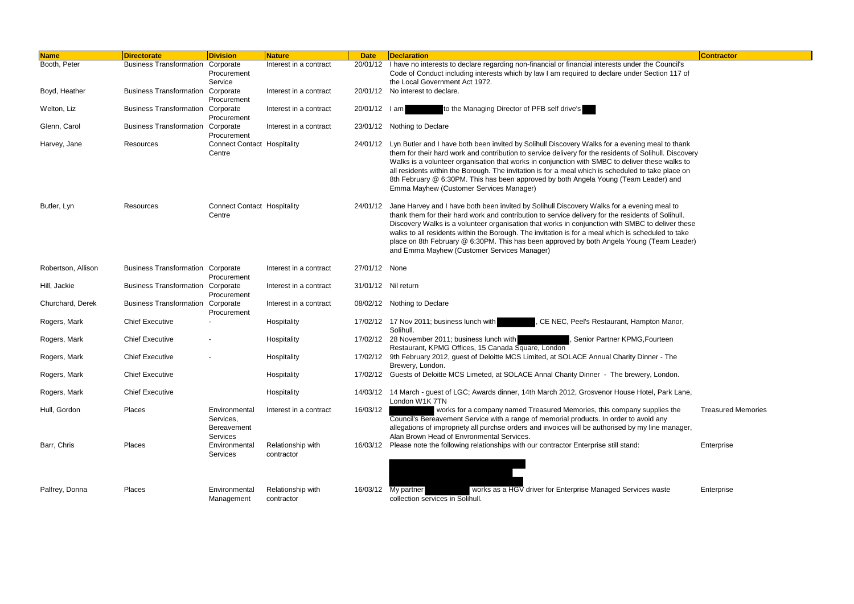void any<br>ny line manager, Treasured Memories

| <b>Name</b>        | <b>Directorate</b>                       | <b>Division</b>                                       | <b>Nature</b>                   | <b>Date</b>   | Declaration                                                                                                                                                                                                                                                                                                                                                                                                                                                                                                                                                    | <b>Contractor</b> |
|--------------------|------------------------------------------|-------------------------------------------------------|---------------------------------|---------------|----------------------------------------------------------------------------------------------------------------------------------------------------------------------------------------------------------------------------------------------------------------------------------------------------------------------------------------------------------------------------------------------------------------------------------------------------------------------------------------------------------------------------------------------------------------|-------------------|
| Booth, Peter       | <b>Business Transformation</b>           | Corporate<br>Procurement<br>Service                   | Interest in a contract          | 20/01/12      | I have no interests to declare regarding non-financial or financial interests under the Council's<br>Code of Conduct including interests which by law I am required to declare under Section 117 of<br>the Local Government Act 1972.                                                                                                                                                                                                                                                                                                                          |                   |
| Boyd, Heather      | <b>Business Transformation</b>           | Corporate<br>Procurement                              | Interest in a contract          | 20/01/12      | No interest to declare.                                                                                                                                                                                                                                                                                                                                                                                                                                                                                                                                        |                   |
| Welton, Liz        | <b>Business Transformation</b>           | Corporate<br>Procurement                              | Interest in a contract          | 20/01/12   am | to the Managing Director of PFB self drive's                                                                                                                                                                                                                                                                                                                                                                                                                                                                                                                   |                   |
| Glenn, Carol       | <b>Business Transformation</b>           | Corporate<br>Procurement                              | Interest in a contract          |               | 23/01/12 Nothing to Declare                                                                                                                                                                                                                                                                                                                                                                                                                                                                                                                                    |                   |
| Harvey, Jane       | Resources                                | <b>Connect Contact Hospitality</b><br>Centre          |                                 |               | 24/01/12 Lyn Butler and I have both been invited by Solihull Discovery Walks for a evening meal to thank<br>them for their hard work and contribution to service delivery for the residents of Solihull. Discovery<br>Walks is a volunteer organisation that works in conjunction with SMBC to deliver these walks to<br>all residents within the Borough. The invitation is for a meal which is scheduled to take place on<br>8th February @ 6:30PM. This has been approved by both Angela Young (Team Leader) and<br>Emma Mayhew (Customer Services Manager) |                   |
| Butler, Lyn        | Resources                                | <b>Connect Contact Hospitality</b><br>Centre          |                                 | 24/01/12      | Jane Harvey and I have both been invited by Solihull Discovery Walks for a evening meal to<br>thank them for their hard work and contribution to service delivery for the residents of Solihull.<br>Discovery Walks is a volunteer organisation that works in conjunction with SMBC to deliver these<br>walks to all residents within the Borough. The invitation is for a meal which is scheduled to take<br>place on 8th February @ 6:30PM. This has been approved by both Angela Young (Team Leader)<br>and Emma Mayhew (Customer Services Manager)         |                   |
| Robertson, Allison | <b>Business Transformation Corporate</b> | Procurement                                           | Interest in a contract          | 27/01/12 None |                                                                                                                                                                                                                                                                                                                                                                                                                                                                                                                                                                |                   |
| Hill, Jackie       | <b>Business Transformation</b>           | Corporate<br>Procurement                              | Interest in a contract          |               | 31/01/12 Nil return                                                                                                                                                                                                                                                                                                                                                                                                                                                                                                                                            |                   |
| Churchard, Derek   | <b>Business Transformation Corporate</b> | Procurement                                           | Interest in a contract          |               | 08/02/12 Nothing to Declare                                                                                                                                                                                                                                                                                                                                                                                                                                                                                                                                    |                   |
| Rogers, Mark       | <b>Chief Executive</b>                   |                                                       | Hospitality                     |               | 17/02/12 17 Nov 2011; business lunch with<br>CE NEC, Peel's Restaurant, Hampton Manor,<br>Solihull.                                                                                                                                                                                                                                                                                                                                                                                                                                                            |                   |
| Rogers, Mark       | <b>Chief Executive</b>                   |                                                       | Hospitality                     |               | 17/02/12 28 November 2011; business lunch with<br>Senior Partner KPMG, Fourteen<br>Restaurant, KPMG Offices, 15 Canada Square, London                                                                                                                                                                                                                                                                                                                                                                                                                          |                   |
| Rogers, Mark       | <b>Chief Executive</b>                   |                                                       | Hospitality                     | 17/02/12      | 9th February 2012, guest of Deloitte MCS Limited, at SOLACE Annual Charity Dinner - The<br>Brewery, London.                                                                                                                                                                                                                                                                                                                                                                                                                                                    |                   |
| Rogers, Mark       | <b>Chief Executive</b>                   |                                                       | Hospitality                     |               | 17/02/12 Guests of Deloitte MCS Limeted, at SOLACE Annal Charity Dinner - The brewery, London.                                                                                                                                                                                                                                                                                                                                                                                                                                                                 |                   |
| Rogers, Mark       | <b>Chief Executive</b>                   |                                                       | Hospitality                     | 14/03/12      | 14 March - guest of LGC; Awards dinner, 14th March 2012, Grosvenor House Hotel, Park Lane,<br>London W1K 7TN                                                                                                                                                                                                                                                                                                                                                                                                                                                   |                   |
| Hull, Gordon       | Places                                   | Environmental<br>Services,<br>Bereavement<br>Services | Interest in a contract          | 16/03/12      | works for a company named Treasured Memories, this company supplies the<br>Council's Bereavement Service with a range of memorial products. In order to avoid any<br>allegations of impropriety all purchse orders and invoices will be authorised by my line manager,<br>Alan Brown Head of Envronmental Services.                                                                                                                                                                                                                                            | Treasured         |
| Barr, Chris        | Places                                   | Environmental<br>Services                             | Relationship with<br>contractor | 16/03/12      | Please note the following relationships with our contractor Enterprise still stand:                                                                                                                                                                                                                                                                                                                                                                                                                                                                            | Enterprise        |
| Palfrey, Donna     | Places                                   | Environmental<br>Management                           | Relationship with<br>contractor |               | works as a HGV driver for Enterprise Managed Services waste<br>16/03/12 My partner<br>collection services in Solihull.                                                                                                                                                                                                                                                                                                                                                                                                                                         | Enterprise        |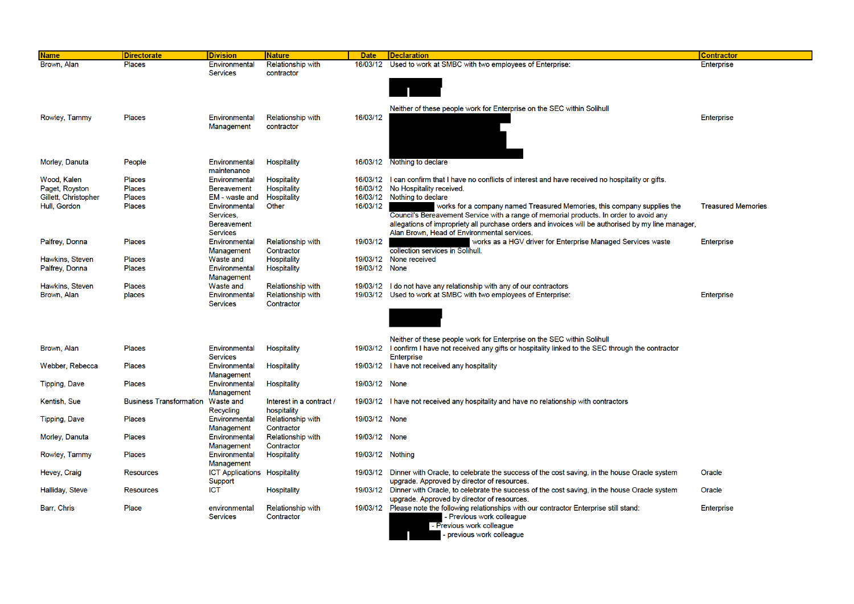| <b>Name</b>            | <b>Directorate</b>             | <b>Division</b>                       | <b>Nature</b>                          | <b>Date</b>      | <b>Declaration</b>                                                                                                                                  | <b>Contractor</b>         |
|------------------------|--------------------------------|---------------------------------------|----------------------------------------|------------------|-----------------------------------------------------------------------------------------------------------------------------------------------------|---------------------------|
| Brown, Alan            | <b>Places</b>                  | Environmental                         | Relationship with                      | 16/03/12         | Used to work at SMBC with two employees of Enterprise:                                                                                              | Enterprise                |
|                        |                                | <b>Services</b>                       | contractor                             |                  |                                                                                                                                                     |                           |
|                        |                                |                                       |                                        |                  |                                                                                                                                                     |                           |
|                        |                                |                                       |                                        |                  |                                                                                                                                                     |                           |
|                        |                                |                                       |                                        |                  | Neither of these people work for Enterprise on the SEC within Solihull                                                                              |                           |
| Rowley, Tammy          | <b>Places</b>                  | Environmental<br>Management           | <b>Relationship with</b>               | 16/03/12         |                                                                                                                                                     | Enterprise                |
|                        |                                |                                       | contractor                             |                  |                                                                                                                                                     |                           |
|                        |                                |                                       |                                        |                  |                                                                                                                                                     |                           |
|                        |                                |                                       |                                        |                  |                                                                                                                                                     |                           |
| Morley, Danuta         | People                         | Environmental<br>maintenance          | Hospitality                            |                  | 16/03/12 Nothing to declare                                                                                                                         |                           |
| Wood, Kalen            | Places                         | Environmental                         | <b>Hospitality</b>                     | 16/03/12         | I can confirm that I have no conflicts of interest and have received no hospitality or gifts.                                                       |                           |
| Paget, Royston         | Places                         | <b>Bereavement</b>                    | <b>Hospitality</b>                     | 16/03/12         | No Hospitality received.                                                                                                                            |                           |
| Gillett, Christopher   | Places                         | EM - waste and                        | <b>Hospitality</b>                     | 16/03/12         | Nothing to declare                                                                                                                                  |                           |
| Hull, Gordon           | <b>Places</b>                  | Environmental                         | Other                                  | 16/03/12         | works for a company named Treasured Memories, this company supplies the                                                                             | <b>Treasured Memories</b> |
|                        |                                | Services,                             |                                        |                  | Council's Bereavement Service with a range of memorial products. In order to avoid any                                                              |                           |
|                        |                                | <b>Bereavement</b><br><b>Services</b> |                                        |                  | allegations of impropriety all purchase orders and invoices will be authorised by my line manager,<br>Alan Brown, Head of Environmental services.   |                           |
| Palfrey, Donna         | Places                         | Environmental                         | <b>Relationship with</b>               | 19/03/12         | works as a HGV driver for Enterprise Managed Services waste                                                                                         | Enterprise                |
|                        |                                | Management                            | Contractor                             |                  | collection services in Solihull.                                                                                                                    |                           |
| Hawkins, Steven        | Places                         | Waste and                             | <b>Hospitality</b>                     |                  | 19/03/12 None received                                                                                                                              |                           |
| Palfrey, Donna         | <b>Places</b>                  | Environmental                         | Hospitality                            | 19/03/12 None    |                                                                                                                                                     |                           |
| Hawkins, Steven        | Places                         | Management<br>Waste and               | Relationship with                      |                  | 19/03/12 I do not have any relationship with any of our contractors                                                                                 |                           |
| Brown, Alan            | places                         | Environmental                         | <b>Relationship with</b>               | 19/03/12         | Used to work at SMBC with two employees of Enterprise:                                                                                              | Enterprise                |
|                        |                                | <b>Services</b>                       | Contractor                             |                  |                                                                                                                                                     |                           |
|                        |                                |                                       |                                        |                  |                                                                                                                                                     |                           |
|                        |                                |                                       |                                        |                  |                                                                                                                                                     |                           |
|                        |                                |                                       |                                        |                  | Neither of these people work for Enterprise on the SEC within Solihull                                                                              |                           |
| Brown, Alan            | <b>Places</b>                  | Environmental                         | Hospitality                            | 19/03/12         | I confirm I have not received any gifts or hospitality linked to the SEC through the contractor                                                     |                           |
|                        |                                | <b>Services</b>                       |                                        |                  | Enterprise                                                                                                                                          |                           |
| Webber, Rebecca        | <b>Places</b>                  | Environmental                         | Hospitality                            |                  | 19/03/12 I have not received any hospitality                                                                                                        |                           |
| <b>Tipping, Dave</b>   | Places                         | Management<br>Environmental           | <b>Hospitality</b>                     | 19/03/12 None    |                                                                                                                                                     |                           |
|                        |                                | Management                            |                                        |                  |                                                                                                                                                     |                           |
| Kentish, Sue           | <b>Business Transformation</b> | Waste and                             | Interest in a contract /               |                  | 19/03/12 I have not received any hospitality and have no relationship with contractors                                                              |                           |
|                        |                                | Recycling                             | hospitality                            |                  |                                                                                                                                                     |                           |
| <b>Tipping, Dave</b>   | Places                         | Environmental<br>Management           | <b>Relationship with</b><br>Contractor | 19/03/12 None    |                                                                                                                                                     |                           |
| Morley, Danuta         | Places                         | Environmental                         | <b>Relationship with</b>               | 19/03/12 None    |                                                                                                                                                     |                           |
|                        |                                | Management                            | Contractor                             |                  |                                                                                                                                                     |                           |
| Rowley, Tammy          | Places                         | Environmental                         | <b>Hospitality</b>                     | 19/03/12 Nothing |                                                                                                                                                     |                           |
|                        |                                | Management                            |                                        |                  |                                                                                                                                                     |                           |
| Hevey, Craig           | <b>Resources</b>               | <b>ICT Applications Hospitality</b>   |                                        |                  | 19/03/12 Dinner with Oracle, to celebrate the success of the cost saving, in the house Oracle system                                                | Oracle                    |
| <b>Halliday, Steve</b> | <b>Resources</b>               | Support<br><b>ICT</b>                 | <b>Hospitality</b>                     |                  | upgrade. Approved by director of resources.<br>19/03/12 Dinner with Oracle, to celebrate the success of the cost saving, in the house Oracle system | Oracle                    |
|                        |                                |                                       |                                        |                  | upgrade. Approved by director of resources.                                                                                                         |                           |
| Barr, Chris            | Place                          | environmental                         | <b>Relationship with</b>               |                  | 19/03/12 Please note the following relationships with our contractor Enterprise still stand:                                                        | <b>Enterprise</b>         |
|                        |                                | <b>Services</b>                       | Contractor                             |                  | - Previous work colleague                                                                                                                           |                           |
|                        |                                |                                       |                                        |                  | - Previous work colleague                                                                                                                           |                           |
|                        |                                |                                       |                                        |                  | previous work colleague                                                                                                                             |                           |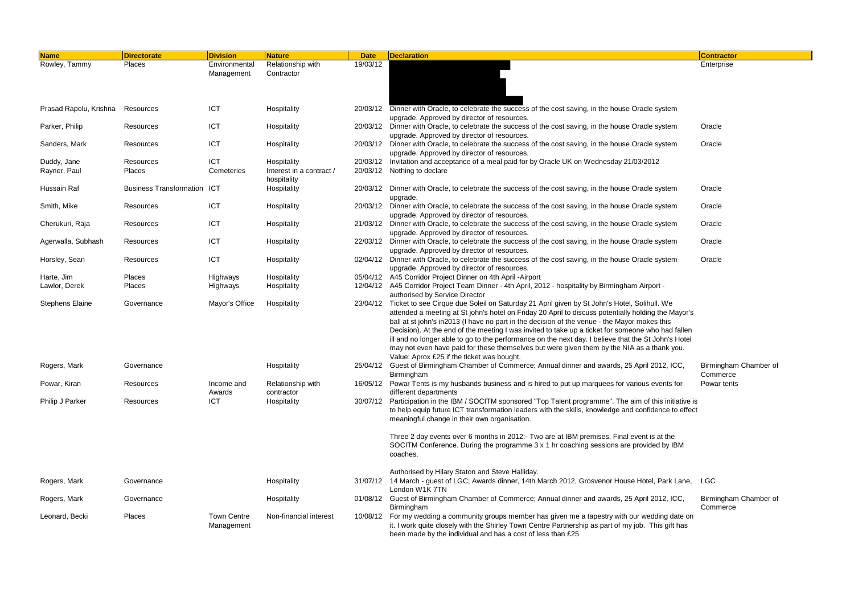| 19/03/12<br>Places<br>Environmental<br>Relationship with<br>Enterprise<br>Management<br>Contractor<br><b>ICT</b><br>20/03/12 Dinner with Oracle, to celebrate the success of the cost saving, in the house Oracle system<br>Prasad Rapolu, Krishna<br>Hospitality<br>Resources<br>upgrade. Approved by director of resources.<br><b>ICT</b><br>Dinner with Oracle, to celebrate the success of the cost saving, in the house Oracle system<br>Parker, Philip<br>Hospitality<br>20/03/12<br>Oracle<br>Resources<br>upgrade. Approved by director of resources.<br><b>ICT</b><br>20/03/12 Dinner with Oracle, to celebrate the success of the cost saving, in the house Oracle system<br>Sanders, Mark<br>Hospitality<br>Oracle<br>Resources<br>upgrade. Approved by director of resources.<br><b>ICT</b><br>20/03/12 Invitation and acceptance of a meal paid for by Oracle UK on Wednesday 21/03/2012<br>Hospitality<br>Duddy, Jane<br>Resources<br>Interest in a contract /<br>Rayner, Paul<br>Cemeteries<br>20/03/12<br>Nothing to declare<br>Places<br>hospitality<br>Hussain Raf<br><b>Business Transformation</b><br><b>ICT</b><br>20/03/12 Dinner with Oracle, to celebrate the success of the cost saving, in the house Oracle system<br>Oracle<br>Hospitality<br>upgrade.<br><b>ICT</b><br>Smith, Mike<br>Hospitality<br>20/03/12 Dinner with Oracle, to celebrate the success of the cost saving, in the house Oracle system<br>Oracle<br>Resources<br>upgrade. Approved by director of resources.<br><b>ICT</b><br>21/03/12 Dinner with Oracle, to celebrate the success of the cost saving, in the house Oracle system<br>Hospitality<br>Oracle<br>Cherukuri, Raja<br>Resources<br>upgrade. Approved by director of resources.<br><b>ICT</b><br>Agerwalla, Subhash<br>Hospitality<br>22/03/12 Dinner with Oracle, to celebrate the success of the cost saving, in the house Oracle system<br>Oracle<br>Resources<br>upgrade. Approved by director of resources.<br><b>ICT</b><br>02/04/12 Dinner with Oracle, to celebrate the success of the cost saving, in the house Oracle system<br>Horsley, Sean<br>Hospitality<br>Oracle<br>Resources<br>upgrade. Approved by director of resources.<br>05/04/12 A45 Corridor Project Dinner on 4th April - Airport<br>Places<br>Highways<br>Hospitality<br>12/04/12 A45 Corridor Project Team Dinner - 4th April, 2012 - hospitality by Birmingham Airport -<br>Lawlor, Derek<br>Hospitality<br>Places<br>Highways<br>authorised by Service Director<br>Mayor's Office<br>Ticket to see Cirque due Soleil on Saturday 21 April given by St John's Hotel, Solihull. We<br><b>Stephens Elaine</b><br>Hospitality<br>Governance<br>23/04/12<br>attended a meeting at St john's hotel on Friday 20 April to discuss potentially holding the Mayor's<br>ball at st john's in2013 (I have no part in the decision of the venue - the Mayor makes this<br>Decision). At the end of the meeting I was invited to take up a ticket for someone who had fallen<br>ill and no longer able to go to the performance on the next day. I believe that the St John's Hotel<br>may not even have paid for these themselves but were given them by the NIA as a thank you.<br>Value: Aprox £25 if the ticket was bought.<br>25/04/12 Guest of Birmingham Chamber of Commerce; Annual dinner and awards, 25 April 2012, ICC,<br>Birmingham Chamber of<br>Rogers, Mark<br>Governance<br>Hospitality<br>Commerce<br>Birmingham<br>Powar, Kiran<br>16/05/12 Powar Tents is my husbands business and is hired to put up marquees for various events for<br>Relationship with<br>Powar tents<br>Resources<br>Income and<br>different departments<br>Awards<br>contractor<br><b>ICT</b><br>30/07/12 Participation in the IBM / SOCITM sponsored "Top Talent programme". The aim of this initiative is<br>Hospitality<br>Philip J Parker<br>Resources<br>to help equip future ICT transformation leaders with the skills, knowledge and confidence to effect<br>meaningful change in their own organisation.<br>Three 2 day events over 6 months in 2012:- Two are at IBM premises. Final event is at the<br>SOCITM Conference. During the programme 3 x 1 hr coaching sessions are provided by IBM<br>coaches.<br>Authorised by Hilary Staton and Steve Halliday.<br>31/07/12 14 March - guest of LGC; Awards dinner, 14th March 2012, Grosvenor House Hotel, Park Lane, LGC<br>Rogers, Mark<br>Governance<br>Hospitality<br>London W1K 7TN<br>01/08/12 Guest of Birmingham Chamber of Commerce; Annual dinner and awards, 25 April 2012, ICC,<br>Hospitality<br>Birmingham Chamber of<br>Rogers, Mark<br>Governance<br>Commerce<br>Birmingham<br><b>Town Centre</b><br>10/08/12 For my wedding a community groups member has given me a tapestry with our wedding date on<br>Places<br>Non-financial interest<br>Leonard, Becki<br>it. I work quite closely with the Shirley Town Centre Partnership as part of my job. This gift has<br>Management | <b>Name</b>   | <b>Directorate</b> | <b>Division</b> | <b>Nature</b> | <b>Date</b> | <b>Declaration</b>                                          | <b>Contractor</b> |
|---------------------------------------------------------------------------------------------------------------------------------------------------------------------------------------------------------------------------------------------------------------------------------------------------------------------------------------------------------------------------------------------------------------------------------------------------------------------------------------------------------------------------------------------------------------------------------------------------------------------------------------------------------------------------------------------------------------------------------------------------------------------------------------------------------------------------------------------------------------------------------------------------------------------------------------------------------------------------------------------------------------------------------------------------------------------------------------------------------------------------------------------------------------------------------------------------------------------------------------------------------------------------------------------------------------------------------------------------------------------------------------------------------------------------------------------------------------------------------------------------------------------------------------------------------------------------------------------------------------------------------------------------------------------------------------------------------------------------------------------------------------------------------------------------------------------------------------------------------------------------------------------------------------------------------------------------------------------------------------------------------------------------------------------------------------------------------------------------------------------------------------------------------------------------------------------------------------------------------------------------------------------------------------------------------------------------------------------------------------------------------------------------------------------------------------------------------------------------------------------------------------------------------------------------------------------------------------------------------------------------------------------------------------------------------------------------------------------------------------------------------------------------------------------------------------------------------------------------------------------------------------------------------------------------------------------------------------------------------------------------------------------------------------------------------------------------------------------------------------------------------------------------------------------------------------------------------------------------------------------------------------------------------------------------------------------------------------------------------------------------------------------------------------------------------------------------------------------------------------------------------------------------------------------------------------------------------------------------------------------------------------------------------------------------------------------------------------------------------------------------------------------------------------------------------------------------------------------------------------------------------------------------------------------------------------------------------------------------------------------------------------------------------------------------------------------------------------------------------------------------------------------------------------------------------------------------------------------------------------------------------------------------------------------------------------------------------------------------------------------------------------------------------------------------------------------------------------------------------------------------------------------------------------------------------------------------------------------------------------------------------------------------------------------------------------------------------------------------------------------------------------------------------------------------------------------------------------------------------------------------------------------------------------------------------------------------------------------------------|---------------|--------------------|-----------------|---------------|-------------|-------------------------------------------------------------|-------------------|
|                                                                                                                                                                                                                                                                                                                                                                                                                                                                                                                                                                                                                                                                                                                                                                                                                                                                                                                                                                                                                                                                                                                                                                                                                                                                                                                                                                                                                                                                                                                                                                                                                                                                                                                                                                                                                                                                                                                                                                                                                                                                                                                                                                                                                                                                                                                                                                                                                                                                                                                                                                                                                                                                                                                                                                                                                                                                                                                                                                                                                                                                                                                                                                                                                                                                                                                                                                                                                                                                                                                                                                                                                                                                                                                                                                                                                                                                                                                                                                                                                                                                                                                                                                                                                                                                                                                                                                                                                                                                                                                                                                                                                                                                                                                                                                                                                                                                                                                                                                                 | Rowley, Tammy |                    |                 |               |             |                                                             |                   |
|                                                                                                                                                                                                                                                                                                                                                                                                                                                                                                                                                                                                                                                                                                                                                                                                                                                                                                                                                                                                                                                                                                                                                                                                                                                                                                                                                                                                                                                                                                                                                                                                                                                                                                                                                                                                                                                                                                                                                                                                                                                                                                                                                                                                                                                                                                                                                                                                                                                                                                                                                                                                                                                                                                                                                                                                                                                                                                                                                                                                                                                                                                                                                                                                                                                                                                                                                                                                                                                                                                                                                                                                                                                                                                                                                                                                                                                                                                                                                                                                                                                                                                                                                                                                                                                                                                                                                                                                                                                                                                                                                                                                                                                                                                                                                                                                                                                                                                                                                                                 |               |                    |                 |               |             |                                                             |                   |
|                                                                                                                                                                                                                                                                                                                                                                                                                                                                                                                                                                                                                                                                                                                                                                                                                                                                                                                                                                                                                                                                                                                                                                                                                                                                                                                                                                                                                                                                                                                                                                                                                                                                                                                                                                                                                                                                                                                                                                                                                                                                                                                                                                                                                                                                                                                                                                                                                                                                                                                                                                                                                                                                                                                                                                                                                                                                                                                                                                                                                                                                                                                                                                                                                                                                                                                                                                                                                                                                                                                                                                                                                                                                                                                                                                                                                                                                                                                                                                                                                                                                                                                                                                                                                                                                                                                                                                                                                                                                                                                                                                                                                                                                                                                                                                                                                                                                                                                                                                                 |               |                    |                 |               |             |                                                             |                   |
|                                                                                                                                                                                                                                                                                                                                                                                                                                                                                                                                                                                                                                                                                                                                                                                                                                                                                                                                                                                                                                                                                                                                                                                                                                                                                                                                                                                                                                                                                                                                                                                                                                                                                                                                                                                                                                                                                                                                                                                                                                                                                                                                                                                                                                                                                                                                                                                                                                                                                                                                                                                                                                                                                                                                                                                                                                                                                                                                                                                                                                                                                                                                                                                                                                                                                                                                                                                                                                                                                                                                                                                                                                                                                                                                                                                                                                                                                                                                                                                                                                                                                                                                                                                                                                                                                                                                                                                                                                                                                                                                                                                                                                                                                                                                                                                                                                                                                                                                                                                 |               |                    |                 |               |             |                                                             |                   |
|                                                                                                                                                                                                                                                                                                                                                                                                                                                                                                                                                                                                                                                                                                                                                                                                                                                                                                                                                                                                                                                                                                                                                                                                                                                                                                                                                                                                                                                                                                                                                                                                                                                                                                                                                                                                                                                                                                                                                                                                                                                                                                                                                                                                                                                                                                                                                                                                                                                                                                                                                                                                                                                                                                                                                                                                                                                                                                                                                                                                                                                                                                                                                                                                                                                                                                                                                                                                                                                                                                                                                                                                                                                                                                                                                                                                                                                                                                                                                                                                                                                                                                                                                                                                                                                                                                                                                                                                                                                                                                                                                                                                                                                                                                                                                                                                                                                                                                                                                                                 |               |                    |                 |               |             |                                                             |                   |
|                                                                                                                                                                                                                                                                                                                                                                                                                                                                                                                                                                                                                                                                                                                                                                                                                                                                                                                                                                                                                                                                                                                                                                                                                                                                                                                                                                                                                                                                                                                                                                                                                                                                                                                                                                                                                                                                                                                                                                                                                                                                                                                                                                                                                                                                                                                                                                                                                                                                                                                                                                                                                                                                                                                                                                                                                                                                                                                                                                                                                                                                                                                                                                                                                                                                                                                                                                                                                                                                                                                                                                                                                                                                                                                                                                                                                                                                                                                                                                                                                                                                                                                                                                                                                                                                                                                                                                                                                                                                                                                                                                                                                                                                                                                                                                                                                                                                                                                                                                                 |               |                    |                 |               |             |                                                             |                   |
|                                                                                                                                                                                                                                                                                                                                                                                                                                                                                                                                                                                                                                                                                                                                                                                                                                                                                                                                                                                                                                                                                                                                                                                                                                                                                                                                                                                                                                                                                                                                                                                                                                                                                                                                                                                                                                                                                                                                                                                                                                                                                                                                                                                                                                                                                                                                                                                                                                                                                                                                                                                                                                                                                                                                                                                                                                                                                                                                                                                                                                                                                                                                                                                                                                                                                                                                                                                                                                                                                                                                                                                                                                                                                                                                                                                                                                                                                                                                                                                                                                                                                                                                                                                                                                                                                                                                                                                                                                                                                                                                                                                                                                                                                                                                                                                                                                                                                                                                                                                 |               |                    |                 |               |             |                                                             |                   |
|                                                                                                                                                                                                                                                                                                                                                                                                                                                                                                                                                                                                                                                                                                                                                                                                                                                                                                                                                                                                                                                                                                                                                                                                                                                                                                                                                                                                                                                                                                                                                                                                                                                                                                                                                                                                                                                                                                                                                                                                                                                                                                                                                                                                                                                                                                                                                                                                                                                                                                                                                                                                                                                                                                                                                                                                                                                                                                                                                                                                                                                                                                                                                                                                                                                                                                                                                                                                                                                                                                                                                                                                                                                                                                                                                                                                                                                                                                                                                                                                                                                                                                                                                                                                                                                                                                                                                                                                                                                                                                                                                                                                                                                                                                                                                                                                                                                                                                                                                                                 |               |                    |                 |               |             |                                                             |                   |
|                                                                                                                                                                                                                                                                                                                                                                                                                                                                                                                                                                                                                                                                                                                                                                                                                                                                                                                                                                                                                                                                                                                                                                                                                                                                                                                                                                                                                                                                                                                                                                                                                                                                                                                                                                                                                                                                                                                                                                                                                                                                                                                                                                                                                                                                                                                                                                                                                                                                                                                                                                                                                                                                                                                                                                                                                                                                                                                                                                                                                                                                                                                                                                                                                                                                                                                                                                                                                                                                                                                                                                                                                                                                                                                                                                                                                                                                                                                                                                                                                                                                                                                                                                                                                                                                                                                                                                                                                                                                                                                                                                                                                                                                                                                                                                                                                                                                                                                                                                                 |               |                    |                 |               |             |                                                             |                   |
|                                                                                                                                                                                                                                                                                                                                                                                                                                                                                                                                                                                                                                                                                                                                                                                                                                                                                                                                                                                                                                                                                                                                                                                                                                                                                                                                                                                                                                                                                                                                                                                                                                                                                                                                                                                                                                                                                                                                                                                                                                                                                                                                                                                                                                                                                                                                                                                                                                                                                                                                                                                                                                                                                                                                                                                                                                                                                                                                                                                                                                                                                                                                                                                                                                                                                                                                                                                                                                                                                                                                                                                                                                                                                                                                                                                                                                                                                                                                                                                                                                                                                                                                                                                                                                                                                                                                                                                                                                                                                                                                                                                                                                                                                                                                                                                                                                                                                                                                                                                 |               |                    |                 |               |             |                                                             |                   |
|                                                                                                                                                                                                                                                                                                                                                                                                                                                                                                                                                                                                                                                                                                                                                                                                                                                                                                                                                                                                                                                                                                                                                                                                                                                                                                                                                                                                                                                                                                                                                                                                                                                                                                                                                                                                                                                                                                                                                                                                                                                                                                                                                                                                                                                                                                                                                                                                                                                                                                                                                                                                                                                                                                                                                                                                                                                                                                                                                                                                                                                                                                                                                                                                                                                                                                                                                                                                                                                                                                                                                                                                                                                                                                                                                                                                                                                                                                                                                                                                                                                                                                                                                                                                                                                                                                                                                                                                                                                                                                                                                                                                                                                                                                                                                                                                                                                                                                                                                                                 |               |                    |                 |               |             |                                                             |                   |
|                                                                                                                                                                                                                                                                                                                                                                                                                                                                                                                                                                                                                                                                                                                                                                                                                                                                                                                                                                                                                                                                                                                                                                                                                                                                                                                                                                                                                                                                                                                                                                                                                                                                                                                                                                                                                                                                                                                                                                                                                                                                                                                                                                                                                                                                                                                                                                                                                                                                                                                                                                                                                                                                                                                                                                                                                                                                                                                                                                                                                                                                                                                                                                                                                                                                                                                                                                                                                                                                                                                                                                                                                                                                                                                                                                                                                                                                                                                                                                                                                                                                                                                                                                                                                                                                                                                                                                                                                                                                                                                                                                                                                                                                                                                                                                                                                                                                                                                                                                                 |               |                    |                 |               |             |                                                             |                   |
|                                                                                                                                                                                                                                                                                                                                                                                                                                                                                                                                                                                                                                                                                                                                                                                                                                                                                                                                                                                                                                                                                                                                                                                                                                                                                                                                                                                                                                                                                                                                                                                                                                                                                                                                                                                                                                                                                                                                                                                                                                                                                                                                                                                                                                                                                                                                                                                                                                                                                                                                                                                                                                                                                                                                                                                                                                                                                                                                                                                                                                                                                                                                                                                                                                                                                                                                                                                                                                                                                                                                                                                                                                                                                                                                                                                                                                                                                                                                                                                                                                                                                                                                                                                                                                                                                                                                                                                                                                                                                                                                                                                                                                                                                                                                                                                                                                                                                                                                                                                 |               |                    |                 |               |             |                                                             |                   |
|                                                                                                                                                                                                                                                                                                                                                                                                                                                                                                                                                                                                                                                                                                                                                                                                                                                                                                                                                                                                                                                                                                                                                                                                                                                                                                                                                                                                                                                                                                                                                                                                                                                                                                                                                                                                                                                                                                                                                                                                                                                                                                                                                                                                                                                                                                                                                                                                                                                                                                                                                                                                                                                                                                                                                                                                                                                                                                                                                                                                                                                                                                                                                                                                                                                                                                                                                                                                                                                                                                                                                                                                                                                                                                                                                                                                                                                                                                                                                                                                                                                                                                                                                                                                                                                                                                                                                                                                                                                                                                                                                                                                                                                                                                                                                                                                                                                                                                                                                                                 |               |                    |                 |               |             |                                                             |                   |
|                                                                                                                                                                                                                                                                                                                                                                                                                                                                                                                                                                                                                                                                                                                                                                                                                                                                                                                                                                                                                                                                                                                                                                                                                                                                                                                                                                                                                                                                                                                                                                                                                                                                                                                                                                                                                                                                                                                                                                                                                                                                                                                                                                                                                                                                                                                                                                                                                                                                                                                                                                                                                                                                                                                                                                                                                                                                                                                                                                                                                                                                                                                                                                                                                                                                                                                                                                                                                                                                                                                                                                                                                                                                                                                                                                                                                                                                                                                                                                                                                                                                                                                                                                                                                                                                                                                                                                                                                                                                                                                                                                                                                                                                                                                                                                                                                                                                                                                                                                                 |               |                    |                 |               |             |                                                             |                   |
|                                                                                                                                                                                                                                                                                                                                                                                                                                                                                                                                                                                                                                                                                                                                                                                                                                                                                                                                                                                                                                                                                                                                                                                                                                                                                                                                                                                                                                                                                                                                                                                                                                                                                                                                                                                                                                                                                                                                                                                                                                                                                                                                                                                                                                                                                                                                                                                                                                                                                                                                                                                                                                                                                                                                                                                                                                                                                                                                                                                                                                                                                                                                                                                                                                                                                                                                                                                                                                                                                                                                                                                                                                                                                                                                                                                                                                                                                                                                                                                                                                                                                                                                                                                                                                                                                                                                                                                                                                                                                                                                                                                                                                                                                                                                                                                                                                                                                                                                                                                 |               |                    |                 |               |             |                                                             |                   |
|                                                                                                                                                                                                                                                                                                                                                                                                                                                                                                                                                                                                                                                                                                                                                                                                                                                                                                                                                                                                                                                                                                                                                                                                                                                                                                                                                                                                                                                                                                                                                                                                                                                                                                                                                                                                                                                                                                                                                                                                                                                                                                                                                                                                                                                                                                                                                                                                                                                                                                                                                                                                                                                                                                                                                                                                                                                                                                                                                                                                                                                                                                                                                                                                                                                                                                                                                                                                                                                                                                                                                                                                                                                                                                                                                                                                                                                                                                                                                                                                                                                                                                                                                                                                                                                                                                                                                                                                                                                                                                                                                                                                                                                                                                                                                                                                                                                                                                                                                                                 |               |                    |                 |               |             |                                                             |                   |
|                                                                                                                                                                                                                                                                                                                                                                                                                                                                                                                                                                                                                                                                                                                                                                                                                                                                                                                                                                                                                                                                                                                                                                                                                                                                                                                                                                                                                                                                                                                                                                                                                                                                                                                                                                                                                                                                                                                                                                                                                                                                                                                                                                                                                                                                                                                                                                                                                                                                                                                                                                                                                                                                                                                                                                                                                                                                                                                                                                                                                                                                                                                                                                                                                                                                                                                                                                                                                                                                                                                                                                                                                                                                                                                                                                                                                                                                                                                                                                                                                                                                                                                                                                                                                                                                                                                                                                                                                                                                                                                                                                                                                                                                                                                                                                                                                                                                                                                                                                                 |               |                    |                 |               |             |                                                             |                   |
|                                                                                                                                                                                                                                                                                                                                                                                                                                                                                                                                                                                                                                                                                                                                                                                                                                                                                                                                                                                                                                                                                                                                                                                                                                                                                                                                                                                                                                                                                                                                                                                                                                                                                                                                                                                                                                                                                                                                                                                                                                                                                                                                                                                                                                                                                                                                                                                                                                                                                                                                                                                                                                                                                                                                                                                                                                                                                                                                                                                                                                                                                                                                                                                                                                                                                                                                                                                                                                                                                                                                                                                                                                                                                                                                                                                                                                                                                                                                                                                                                                                                                                                                                                                                                                                                                                                                                                                                                                                                                                                                                                                                                                                                                                                                                                                                                                                                                                                                                                                 |               |                    |                 |               |             |                                                             |                   |
|                                                                                                                                                                                                                                                                                                                                                                                                                                                                                                                                                                                                                                                                                                                                                                                                                                                                                                                                                                                                                                                                                                                                                                                                                                                                                                                                                                                                                                                                                                                                                                                                                                                                                                                                                                                                                                                                                                                                                                                                                                                                                                                                                                                                                                                                                                                                                                                                                                                                                                                                                                                                                                                                                                                                                                                                                                                                                                                                                                                                                                                                                                                                                                                                                                                                                                                                                                                                                                                                                                                                                                                                                                                                                                                                                                                                                                                                                                                                                                                                                                                                                                                                                                                                                                                                                                                                                                                                                                                                                                                                                                                                                                                                                                                                                                                                                                                                                                                                                                                 |               |                    |                 |               |             |                                                             |                   |
|                                                                                                                                                                                                                                                                                                                                                                                                                                                                                                                                                                                                                                                                                                                                                                                                                                                                                                                                                                                                                                                                                                                                                                                                                                                                                                                                                                                                                                                                                                                                                                                                                                                                                                                                                                                                                                                                                                                                                                                                                                                                                                                                                                                                                                                                                                                                                                                                                                                                                                                                                                                                                                                                                                                                                                                                                                                                                                                                                                                                                                                                                                                                                                                                                                                                                                                                                                                                                                                                                                                                                                                                                                                                                                                                                                                                                                                                                                                                                                                                                                                                                                                                                                                                                                                                                                                                                                                                                                                                                                                                                                                                                                                                                                                                                                                                                                                                                                                                                                                 |               |                    |                 |               |             |                                                             |                   |
|                                                                                                                                                                                                                                                                                                                                                                                                                                                                                                                                                                                                                                                                                                                                                                                                                                                                                                                                                                                                                                                                                                                                                                                                                                                                                                                                                                                                                                                                                                                                                                                                                                                                                                                                                                                                                                                                                                                                                                                                                                                                                                                                                                                                                                                                                                                                                                                                                                                                                                                                                                                                                                                                                                                                                                                                                                                                                                                                                                                                                                                                                                                                                                                                                                                                                                                                                                                                                                                                                                                                                                                                                                                                                                                                                                                                                                                                                                                                                                                                                                                                                                                                                                                                                                                                                                                                                                                                                                                                                                                                                                                                                                                                                                                                                                                                                                                                                                                                                                                 |               |                    |                 |               |             |                                                             |                   |
|                                                                                                                                                                                                                                                                                                                                                                                                                                                                                                                                                                                                                                                                                                                                                                                                                                                                                                                                                                                                                                                                                                                                                                                                                                                                                                                                                                                                                                                                                                                                                                                                                                                                                                                                                                                                                                                                                                                                                                                                                                                                                                                                                                                                                                                                                                                                                                                                                                                                                                                                                                                                                                                                                                                                                                                                                                                                                                                                                                                                                                                                                                                                                                                                                                                                                                                                                                                                                                                                                                                                                                                                                                                                                                                                                                                                                                                                                                                                                                                                                                                                                                                                                                                                                                                                                                                                                                                                                                                                                                                                                                                                                                                                                                                                                                                                                                                                                                                                                                                 |               |                    |                 |               |             |                                                             |                   |
|                                                                                                                                                                                                                                                                                                                                                                                                                                                                                                                                                                                                                                                                                                                                                                                                                                                                                                                                                                                                                                                                                                                                                                                                                                                                                                                                                                                                                                                                                                                                                                                                                                                                                                                                                                                                                                                                                                                                                                                                                                                                                                                                                                                                                                                                                                                                                                                                                                                                                                                                                                                                                                                                                                                                                                                                                                                                                                                                                                                                                                                                                                                                                                                                                                                                                                                                                                                                                                                                                                                                                                                                                                                                                                                                                                                                                                                                                                                                                                                                                                                                                                                                                                                                                                                                                                                                                                                                                                                                                                                                                                                                                                                                                                                                                                                                                                                                                                                                                                                 | Harte, Jim    |                    |                 |               |             |                                                             |                   |
|                                                                                                                                                                                                                                                                                                                                                                                                                                                                                                                                                                                                                                                                                                                                                                                                                                                                                                                                                                                                                                                                                                                                                                                                                                                                                                                                                                                                                                                                                                                                                                                                                                                                                                                                                                                                                                                                                                                                                                                                                                                                                                                                                                                                                                                                                                                                                                                                                                                                                                                                                                                                                                                                                                                                                                                                                                                                                                                                                                                                                                                                                                                                                                                                                                                                                                                                                                                                                                                                                                                                                                                                                                                                                                                                                                                                                                                                                                                                                                                                                                                                                                                                                                                                                                                                                                                                                                                                                                                                                                                                                                                                                                                                                                                                                                                                                                                                                                                                                                                 |               |                    |                 |               |             |                                                             |                   |
|                                                                                                                                                                                                                                                                                                                                                                                                                                                                                                                                                                                                                                                                                                                                                                                                                                                                                                                                                                                                                                                                                                                                                                                                                                                                                                                                                                                                                                                                                                                                                                                                                                                                                                                                                                                                                                                                                                                                                                                                                                                                                                                                                                                                                                                                                                                                                                                                                                                                                                                                                                                                                                                                                                                                                                                                                                                                                                                                                                                                                                                                                                                                                                                                                                                                                                                                                                                                                                                                                                                                                                                                                                                                                                                                                                                                                                                                                                                                                                                                                                                                                                                                                                                                                                                                                                                                                                                                                                                                                                                                                                                                                                                                                                                                                                                                                                                                                                                                                                                 |               |                    |                 |               |             |                                                             |                   |
|                                                                                                                                                                                                                                                                                                                                                                                                                                                                                                                                                                                                                                                                                                                                                                                                                                                                                                                                                                                                                                                                                                                                                                                                                                                                                                                                                                                                                                                                                                                                                                                                                                                                                                                                                                                                                                                                                                                                                                                                                                                                                                                                                                                                                                                                                                                                                                                                                                                                                                                                                                                                                                                                                                                                                                                                                                                                                                                                                                                                                                                                                                                                                                                                                                                                                                                                                                                                                                                                                                                                                                                                                                                                                                                                                                                                                                                                                                                                                                                                                                                                                                                                                                                                                                                                                                                                                                                                                                                                                                                                                                                                                                                                                                                                                                                                                                                                                                                                                                                 |               |                    |                 |               |             |                                                             |                   |
|                                                                                                                                                                                                                                                                                                                                                                                                                                                                                                                                                                                                                                                                                                                                                                                                                                                                                                                                                                                                                                                                                                                                                                                                                                                                                                                                                                                                                                                                                                                                                                                                                                                                                                                                                                                                                                                                                                                                                                                                                                                                                                                                                                                                                                                                                                                                                                                                                                                                                                                                                                                                                                                                                                                                                                                                                                                                                                                                                                                                                                                                                                                                                                                                                                                                                                                                                                                                                                                                                                                                                                                                                                                                                                                                                                                                                                                                                                                                                                                                                                                                                                                                                                                                                                                                                                                                                                                                                                                                                                                                                                                                                                                                                                                                                                                                                                                                                                                                                                                 |               |                    |                 |               |             |                                                             |                   |
|                                                                                                                                                                                                                                                                                                                                                                                                                                                                                                                                                                                                                                                                                                                                                                                                                                                                                                                                                                                                                                                                                                                                                                                                                                                                                                                                                                                                                                                                                                                                                                                                                                                                                                                                                                                                                                                                                                                                                                                                                                                                                                                                                                                                                                                                                                                                                                                                                                                                                                                                                                                                                                                                                                                                                                                                                                                                                                                                                                                                                                                                                                                                                                                                                                                                                                                                                                                                                                                                                                                                                                                                                                                                                                                                                                                                                                                                                                                                                                                                                                                                                                                                                                                                                                                                                                                                                                                                                                                                                                                                                                                                                                                                                                                                                                                                                                                                                                                                                                                 |               |                    |                 |               |             |                                                             |                   |
|                                                                                                                                                                                                                                                                                                                                                                                                                                                                                                                                                                                                                                                                                                                                                                                                                                                                                                                                                                                                                                                                                                                                                                                                                                                                                                                                                                                                                                                                                                                                                                                                                                                                                                                                                                                                                                                                                                                                                                                                                                                                                                                                                                                                                                                                                                                                                                                                                                                                                                                                                                                                                                                                                                                                                                                                                                                                                                                                                                                                                                                                                                                                                                                                                                                                                                                                                                                                                                                                                                                                                                                                                                                                                                                                                                                                                                                                                                                                                                                                                                                                                                                                                                                                                                                                                                                                                                                                                                                                                                                                                                                                                                                                                                                                                                                                                                                                                                                                                                                 |               |                    |                 |               |             |                                                             |                   |
|                                                                                                                                                                                                                                                                                                                                                                                                                                                                                                                                                                                                                                                                                                                                                                                                                                                                                                                                                                                                                                                                                                                                                                                                                                                                                                                                                                                                                                                                                                                                                                                                                                                                                                                                                                                                                                                                                                                                                                                                                                                                                                                                                                                                                                                                                                                                                                                                                                                                                                                                                                                                                                                                                                                                                                                                                                                                                                                                                                                                                                                                                                                                                                                                                                                                                                                                                                                                                                                                                                                                                                                                                                                                                                                                                                                                                                                                                                                                                                                                                                                                                                                                                                                                                                                                                                                                                                                                                                                                                                                                                                                                                                                                                                                                                                                                                                                                                                                                                                                 |               |                    |                 |               |             |                                                             |                   |
|                                                                                                                                                                                                                                                                                                                                                                                                                                                                                                                                                                                                                                                                                                                                                                                                                                                                                                                                                                                                                                                                                                                                                                                                                                                                                                                                                                                                                                                                                                                                                                                                                                                                                                                                                                                                                                                                                                                                                                                                                                                                                                                                                                                                                                                                                                                                                                                                                                                                                                                                                                                                                                                                                                                                                                                                                                                                                                                                                                                                                                                                                                                                                                                                                                                                                                                                                                                                                                                                                                                                                                                                                                                                                                                                                                                                                                                                                                                                                                                                                                                                                                                                                                                                                                                                                                                                                                                                                                                                                                                                                                                                                                                                                                                                                                                                                                                                                                                                                                                 |               |                    |                 |               |             |                                                             |                   |
|                                                                                                                                                                                                                                                                                                                                                                                                                                                                                                                                                                                                                                                                                                                                                                                                                                                                                                                                                                                                                                                                                                                                                                                                                                                                                                                                                                                                                                                                                                                                                                                                                                                                                                                                                                                                                                                                                                                                                                                                                                                                                                                                                                                                                                                                                                                                                                                                                                                                                                                                                                                                                                                                                                                                                                                                                                                                                                                                                                                                                                                                                                                                                                                                                                                                                                                                                                                                                                                                                                                                                                                                                                                                                                                                                                                                                                                                                                                                                                                                                                                                                                                                                                                                                                                                                                                                                                                                                                                                                                                                                                                                                                                                                                                                                                                                                                                                                                                                                                                 |               |                    |                 |               |             |                                                             |                   |
|                                                                                                                                                                                                                                                                                                                                                                                                                                                                                                                                                                                                                                                                                                                                                                                                                                                                                                                                                                                                                                                                                                                                                                                                                                                                                                                                                                                                                                                                                                                                                                                                                                                                                                                                                                                                                                                                                                                                                                                                                                                                                                                                                                                                                                                                                                                                                                                                                                                                                                                                                                                                                                                                                                                                                                                                                                                                                                                                                                                                                                                                                                                                                                                                                                                                                                                                                                                                                                                                                                                                                                                                                                                                                                                                                                                                                                                                                                                                                                                                                                                                                                                                                                                                                                                                                                                                                                                                                                                                                                                                                                                                                                                                                                                                                                                                                                                                                                                                                                                 |               |                    |                 |               |             |                                                             |                   |
|                                                                                                                                                                                                                                                                                                                                                                                                                                                                                                                                                                                                                                                                                                                                                                                                                                                                                                                                                                                                                                                                                                                                                                                                                                                                                                                                                                                                                                                                                                                                                                                                                                                                                                                                                                                                                                                                                                                                                                                                                                                                                                                                                                                                                                                                                                                                                                                                                                                                                                                                                                                                                                                                                                                                                                                                                                                                                                                                                                                                                                                                                                                                                                                                                                                                                                                                                                                                                                                                                                                                                                                                                                                                                                                                                                                                                                                                                                                                                                                                                                                                                                                                                                                                                                                                                                                                                                                                                                                                                                                                                                                                                                                                                                                                                                                                                                                                                                                                                                                 |               |                    |                 |               |             |                                                             |                   |
|                                                                                                                                                                                                                                                                                                                                                                                                                                                                                                                                                                                                                                                                                                                                                                                                                                                                                                                                                                                                                                                                                                                                                                                                                                                                                                                                                                                                                                                                                                                                                                                                                                                                                                                                                                                                                                                                                                                                                                                                                                                                                                                                                                                                                                                                                                                                                                                                                                                                                                                                                                                                                                                                                                                                                                                                                                                                                                                                                                                                                                                                                                                                                                                                                                                                                                                                                                                                                                                                                                                                                                                                                                                                                                                                                                                                                                                                                                                                                                                                                                                                                                                                                                                                                                                                                                                                                                                                                                                                                                                                                                                                                                                                                                                                                                                                                                                                                                                                                                                 |               |                    |                 |               |             |                                                             |                   |
|                                                                                                                                                                                                                                                                                                                                                                                                                                                                                                                                                                                                                                                                                                                                                                                                                                                                                                                                                                                                                                                                                                                                                                                                                                                                                                                                                                                                                                                                                                                                                                                                                                                                                                                                                                                                                                                                                                                                                                                                                                                                                                                                                                                                                                                                                                                                                                                                                                                                                                                                                                                                                                                                                                                                                                                                                                                                                                                                                                                                                                                                                                                                                                                                                                                                                                                                                                                                                                                                                                                                                                                                                                                                                                                                                                                                                                                                                                                                                                                                                                                                                                                                                                                                                                                                                                                                                                                                                                                                                                                                                                                                                                                                                                                                                                                                                                                                                                                                                                                 |               |                    |                 |               |             |                                                             |                   |
|                                                                                                                                                                                                                                                                                                                                                                                                                                                                                                                                                                                                                                                                                                                                                                                                                                                                                                                                                                                                                                                                                                                                                                                                                                                                                                                                                                                                                                                                                                                                                                                                                                                                                                                                                                                                                                                                                                                                                                                                                                                                                                                                                                                                                                                                                                                                                                                                                                                                                                                                                                                                                                                                                                                                                                                                                                                                                                                                                                                                                                                                                                                                                                                                                                                                                                                                                                                                                                                                                                                                                                                                                                                                                                                                                                                                                                                                                                                                                                                                                                                                                                                                                                                                                                                                                                                                                                                                                                                                                                                                                                                                                                                                                                                                                                                                                                                                                                                                                                                 |               |                    |                 |               |             |                                                             |                   |
|                                                                                                                                                                                                                                                                                                                                                                                                                                                                                                                                                                                                                                                                                                                                                                                                                                                                                                                                                                                                                                                                                                                                                                                                                                                                                                                                                                                                                                                                                                                                                                                                                                                                                                                                                                                                                                                                                                                                                                                                                                                                                                                                                                                                                                                                                                                                                                                                                                                                                                                                                                                                                                                                                                                                                                                                                                                                                                                                                                                                                                                                                                                                                                                                                                                                                                                                                                                                                                                                                                                                                                                                                                                                                                                                                                                                                                                                                                                                                                                                                                                                                                                                                                                                                                                                                                                                                                                                                                                                                                                                                                                                                                                                                                                                                                                                                                                                                                                                                                                 |               |                    |                 |               |             |                                                             |                   |
|                                                                                                                                                                                                                                                                                                                                                                                                                                                                                                                                                                                                                                                                                                                                                                                                                                                                                                                                                                                                                                                                                                                                                                                                                                                                                                                                                                                                                                                                                                                                                                                                                                                                                                                                                                                                                                                                                                                                                                                                                                                                                                                                                                                                                                                                                                                                                                                                                                                                                                                                                                                                                                                                                                                                                                                                                                                                                                                                                                                                                                                                                                                                                                                                                                                                                                                                                                                                                                                                                                                                                                                                                                                                                                                                                                                                                                                                                                                                                                                                                                                                                                                                                                                                                                                                                                                                                                                                                                                                                                                                                                                                                                                                                                                                                                                                                                                                                                                                                                                 |               |                    |                 |               |             |                                                             |                   |
|                                                                                                                                                                                                                                                                                                                                                                                                                                                                                                                                                                                                                                                                                                                                                                                                                                                                                                                                                                                                                                                                                                                                                                                                                                                                                                                                                                                                                                                                                                                                                                                                                                                                                                                                                                                                                                                                                                                                                                                                                                                                                                                                                                                                                                                                                                                                                                                                                                                                                                                                                                                                                                                                                                                                                                                                                                                                                                                                                                                                                                                                                                                                                                                                                                                                                                                                                                                                                                                                                                                                                                                                                                                                                                                                                                                                                                                                                                                                                                                                                                                                                                                                                                                                                                                                                                                                                                                                                                                                                                                                                                                                                                                                                                                                                                                                                                                                                                                                                                                 |               |                    |                 |               |             |                                                             |                   |
|                                                                                                                                                                                                                                                                                                                                                                                                                                                                                                                                                                                                                                                                                                                                                                                                                                                                                                                                                                                                                                                                                                                                                                                                                                                                                                                                                                                                                                                                                                                                                                                                                                                                                                                                                                                                                                                                                                                                                                                                                                                                                                                                                                                                                                                                                                                                                                                                                                                                                                                                                                                                                                                                                                                                                                                                                                                                                                                                                                                                                                                                                                                                                                                                                                                                                                                                                                                                                                                                                                                                                                                                                                                                                                                                                                                                                                                                                                                                                                                                                                                                                                                                                                                                                                                                                                                                                                                                                                                                                                                                                                                                                                                                                                                                                                                                                                                                                                                                                                                 |               |                    |                 |               |             |                                                             |                   |
|                                                                                                                                                                                                                                                                                                                                                                                                                                                                                                                                                                                                                                                                                                                                                                                                                                                                                                                                                                                                                                                                                                                                                                                                                                                                                                                                                                                                                                                                                                                                                                                                                                                                                                                                                                                                                                                                                                                                                                                                                                                                                                                                                                                                                                                                                                                                                                                                                                                                                                                                                                                                                                                                                                                                                                                                                                                                                                                                                                                                                                                                                                                                                                                                                                                                                                                                                                                                                                                                                                                                                                                                                                                                                                                                                                                                                                                                                                                                                                                                                                                                                                                                                                                                                                                                                                                                                                                                                                                                                                                                                                                                                                                                                                                                                                                                                                                                                                                                                                                 |               |                    |                 |               |             |                                                             |                   |
|                                                                                                                                                                                                                                                                                                                                                                                                                                                                                                                                                                                                                                                                                                                                                                                                                                                                                                                                                                                                                                                                                                                                                                                                                                                                                                                                                                                                                                                                                                                                                                                                                                                                                                                                                                                                                                                                                                                                                                                                                                                                                                                                                                                                                                                                                                                                                                                                                                                                                                                                                                                                                                                                                                                                                                                                                                                                                                                                                                                                                                                                                                                                                                                                                                                                                                                                                                                                                                                                                                                                                                                                                                                                                                                                                                                                                                                                                                                                                                                                                                                                                                                                                                                                                                                                                                                                                                                                                                                                                                                                                                                                                                                                                                                                                                                                                                                                                                                                                                                 |               |                    |                 |               |             |                                                             |                   |
|                                                                                                                                                                                                                                                                                                                                                                                                                                                                                                                                                                                                                                                                                                                                                                                                                                                                                                                                                                                                                                                                                                                                                                                                                                                                                                                                                                                                                                                                                                                                                                                                                                                                                                                                                                                                                                                                                                                                                                                                                                                                                                                                                                                                                                                                                                                                                                                                                                                                                                                                                                                                                                                                                                                                                                                                                                                                                                                                                                                                                                                                                                                                                                                                                                                                                                                                                                                                                                                                                                                                                                                                                                                                                                                                                                                                                                                                                                                                                                                                                                                                                                                                                                                                                                                                                                                                                                                                                                                                                                                                                                                                                                                                                                                                                                                                                                                                                                                                                                                 |               |                    |                 |               |             |                                                             |                   |
|                                                                                                                                                                                                                                                                                                                                                                                                                                                                                                                                                                                                                                                                                                                                                                                                                                                                                                                                                                                                                                                                                                                                                                                                                                                                                                                                                                                                                                                                                                                                                                                                                                                                                                                                                                                                                                                                                                                                                                                                                                                                                                                                                                                                                                                                                                                                                                                                                                                                                                                                                                                                                                                                                                                                                                                                                                                                                                                                                                                                                                                                                                                                                                                                                                                                                                                                                                                                                                                                                                                                                                                                                                                                                                                                                                                                                                                                                                                                                                                                                                                                                                                                                                                                                                                                                                                                                                                                                                                                                                                                                                                                                                                                                                                                                                                                                                                                                                                                                                                 |               |                    |                 |               |             |                                                             |                   |
|                                                                                                                                                                                                                                                                                                                                                                                                                                                                                                                                                                                                                                                                                                                                                                                                                                                                                                                                                                                                                                                                                                                                                                                                                                                                                                                                                                                                                                                                                                                                                                                                                                                                                                                                                                                                                                                                                                                                                                                                                                                                                                                                                                                                                                                                                                                                                                                                                                                                                                                                                                                                                                                                                                                                                                                                                                                                                                                                                                                                                                                                                                                                                                                                                                                                                                                                                                                                                                                                                                                                                                                                                                                                                                                                                                                                                                                                                                                                                                                                                                                                                                                                                                                                                                                                                                                                                                                                                                                                                                                                                                                                                                                                                                                                                                                                                                                                                                                                                                                 |               |                    |                 |               |             |                                                             |                   |
|                                                                                                                                                                                                                                                                                                                                                                                                                                                                                                                                                                                                                                                                                                                                                                                                                                                                                                                                                                                                                                                                                                                                                                                                                                                                                                                                                                                                                                                                                                                                                                                                                                                                                                                                                                                                                                                                                                                                                                                                                                                                                                                                                                                                                                                                                                                                                                                                                                                                                                                                                                                                                                                                                                                                                                                                                                                                                                                                                                                                                                                                                                                                                                                                                                                                                                                                                                                                                                                                                                                                                                                                                                                                                                                                                                                                                                                                                                                                                                                                                                                                                                                                                                                                                                                                                                                                                                                                                                                                                                                                                                                                                                                                                                                                                                                                                                                                                                                                                                                 |               |                    |                 |               |             |                                                             |                   |
|                                                                                                                                                                                                                                                                                                                                                                                                                                                                                                                                                                                                                                                                                                                                                                                                                                                                                                                                                                                                                                                                                                                                                                                                                                                                                                                                                                                                                                                                                                                                                                                                                                                                                                                                                                                                                                                                                                                                                                                                                                                                                                                                                                                                                                                                                                                                                                                                                                                                                                                                                                                                                                                                                                                                                                                                                                                                                                                                                                                                                                                                                                                                                                                                                                                                                                                                                                                                                                                                                                                                                                                                                                                                                                                                                                                                                                                                                                                                                                                                                                                                                                                                                                                                                                                                                                                                                                                                                                                                                                                                                                                                                                                                                                                                                                                                                                                                                                                                                                                 |               |                    |                 |               |             |                                                             |                   |
|                                                                                                                                                                                                                                                                                                                                                                                                                                                                                                                                                                                                                                                                                                                                                                                                                                                                                                                                                                                                                                                                                                                                                                                                                                                                                                                                                                                                                                                                                                                                                                                                                                                                                                                                                                                                                                                                                                                                                                                                                                                                                                                                                                                                                                                                                                                                                                                                                                                                                                                                                                                                                                                                                                                                                                                                                                                                                                                                                                                                                                                                                                                                                                                                                                                                                                                                                                                                                                                                                                                                                                                                                                                                                                                                                                                                                                                                                                                                                                                                                                                                                                                                                                                                                                                                                                                                                                                                                                                                                                                                                                                                                                                                                                                                                                                                                                                                                                                                                                                 |               |                    |                 |               |             |                                                             |                   |
|                                                                                                                                                                                                                                                                                                                                                                                                                                                                                                                                                                                                                                                                                                                                                                                                                                                                                                                                                                                                                                                                                                                                                                                                                                                                                                                                                                                                                                                                                                                                                                                                                                                                                                                                                                                                                                                                                                                                                                                                                                                                                                                                                                                                                                                                                                                                                                                                                                                                                                                                                                                                                                                                                                                                                                                                                                                                                                                                                                                                                                                                                                                                                                                                                                                                                                                                                                                                                                                                                                                                                                                                                                                                                                                                                                                                                                                                                                                                                                                                                                                                                                                                                                                                                                                                                                                                                                                                                                                                                                                                                                                                                                                                                                                                                                                                                                                                                                                                                                                 |               |                    |                 |               |             |                                                             |                   |
|                                                                                                                                                                                                                                                                                                                                                                                                                                                                                                                                                                                                                                                                                                                                                                                                                                                                                                                                                                                                                                                                                                                                                                                                                                                                                                                                                                                                                                                                                                                                                                                                                                                                                                                                                                                                                                                                                                                                                                                                                                                                                                                                                                                                                                                                                                                                                                                                                                                                                                                                                                                                                                                                                                                                                                                                                                                                                                                                                                                                                                                                                                                                                                                                                                                                                                                                                                                                                                                                                                                                                                                                                                                                                                                                                                                                                                                                                                                                                                                                                                                                                                                                                                                                                                                                                                                                                                                                                                                                                                                                                                                                                                                                                                                                                                                                                                                                                                                                                                                 |               |                    |                 |               |             | been made by the individual and has a cost of less than £25 |                   |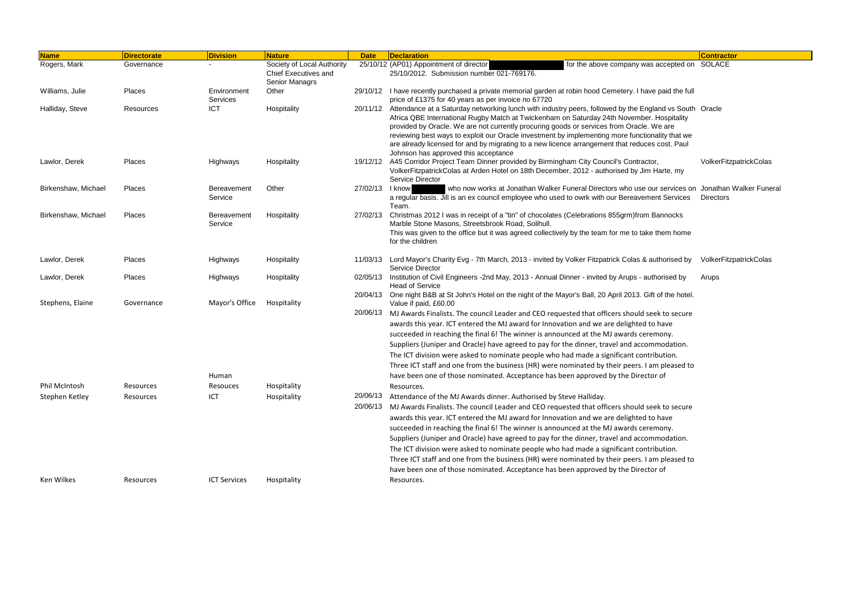| <b>Name</b>         | <b>Directorate</b> | <b>Division</b>         | <b>Nature</b>                                                                      | <b>Date</b>          | <b>Declaration</b>                                                                                                                                                                                                                                                                                                                                                                                                                                                                                                                                                                                                                                                                                                                                                                                         |                                                                                                    | <b>Contractor</b>      |
|---------------------|--------------------|-------------------------|------------------------------------------------------------------------------------|----------------------|------------------------------------------------------------------------------------------------------------------------------------------------------------------------------------------------------------------------------------------------------------------------------------------------------------------------------------------------------------------------------------------------------------------------------------------------------------------------------------------------------------------------------------------------------------------------------------------------------------------------------------------------------------------------------------------------------------------------------------------------------------------------------------------------------------|----------------------------------------------------------------------------------------------------|------------------------|
| Rogers, Mark        | Governance         |                         | Society of Local Authority<br><b>Chief Executives and</b><br><b>Senior Managrs</b> |                      | 25/10/12 (AP01) Appointment of director<br>25/10/2012. Submission number 021-769176.                                                                                                                                                                                                                                                                                                                                                                                                                                                                                                                                                                                                                                                                                                                       | for the above company was accepted on SOLACE                                                       |                        |
| Williams, Julie     | Places             | Environment<br>Services | Other                                                                              |                      | 29/10/12 I have recently purchased a private memorial garden at robin hood Cemetery. I have paid the full<br>price of £1375 for 40 years as per invoice no 67720                                                                                                                                                                                                                                                                                                                                                                                                                                                                                                                                                                                                                                           |                                                                                                    |                        |
| Halliday, Steve     | Resources          | <b>ICT</b>              | Hospitality                                                                        | 20/11/12             | Attendance at a Saturday networking lunch with industry peers, followed by the England vs South Oracle<br>Africa QBE International Rugby Match at Twickenham on Saturday 24th November. Hospitality<br>provided by Oracle. We are not currently procuring goods or services from Oracle. We are<br>reviewing best ways to exploit our Oracle investment by implementing more functionality that we<br>are already licensed for and by migrating to a new licence arrangement that reduces cost. Paul<br>Johnson has approved this acceptance                                                                                                                                                                                                                                                               |                                                                                                    |                        |
| Lawlor, Derek       | Places             | Highways                | Hospitality                                                                        | 19/12/12             | A45 Corridor Project Team Dinner provided by Birmingham City Council's Contractor,<br>VolkerFitzpatrickColas at Arden Hotel on 18th December, 2012 - authorised by Jim Harte, my<br>Service Director                                                                                                                                                                                                                                                                                                                                                                                                                                                                                                                                                                                                       |                                                                                                    | VolkerFitzpatrickColas |
| Birkenshaw, Michael | Places             | Bereavement<br>Service  | Other                                                                              | 27/02/13   know      | a regular basis. Jill is an ex council employee who used to owrk with our Bereavement Services<br>Team.                                                                                                                                                                                                                                                                                                                                                                                                                                                                                                                                                                                                                                                                                                    | who now works at Jonathan Walker Funeral Directors who use our services on Jonathan Walker Funeral | Directors              |
| Birkenshaw, Michael | Places             | Bereavement<br>Service  | Hospitality                                                                        | 27/02/13             | Christmas 2012 I was in receipt of a "tin" of chocolates (Celebrations 855grm)from Bannocks<br>Marble Stone Masons, Streetsbrook Road, Solihull.<br>This was given to the office but it was agreed collectively by the team for me to take them home<br>for the children                                                                                                                                                                                                                                                                                                                                                                                                                                                                                                                                   |                                                                                                    |                        |
| Lawlor, Derek       | Places             | Highways                | Hospitality                                                                        | 11/03/13             | Lord Mayor's Charity Evg - 7th March, 2013 - invited by Volker Fitzpatrick Colas & authorised by<br>Service Director                                                                                                                                                                                                                                                                                                                                                                                                                                                                                                                                                                                                                                                                                       |                                                                                                    | VolkerFitzpatrickColas |
| Lawlor, Derek       | Places             | Highways                | Hospitality                                                                        | 02/05/13             | Institution of Civil Engineers -2nd May, 2013 - Annual Dinner - invited by Arups - authorised by<br><b>Head of Service</b>                                                                                                                                                                                                                                                                                                                                                                                                                                                                                                                                                                                                                                                                                 |                                                                                                    | Arups                  |
| Stephens, Elaine    | Governance         | Mayor's Office<br>Human | Hospitality                                                                        | 20/06/13             | 20/04/13 One night B&B at St John's Hotel on the night of the Mayor's Ball, 20 April 2013. Gift of the hotel.<br>Value if paid, £60.00<br>MJ Awards Finalists. The council Leader and CEO requested that officers should seek to secure<br>awards this year. ICT entered the MJ award for Innovation and we are delighted to have<br>succeeded in reaching the final 6! The winner is announced at the MJ awards ceremony.<br>Suppliers (Juniper and Oracle) have agreed to pay for the dinner, travel and accommodation.<br>The ICT division were asked to nominate people who had made a significant contribution.<br>Three ICT staff and one from the business (HR) were nominated by their peers. I am pleased to<br>have been one of those nominated. Acceptance has been approved by the Director of |                                                                                                    |                        |
| Phil McIntosh       | Resources          | Resouces                | Hospitality                                                                        |                      | Resources.                                                                                                                                                                                                                                                                                                                                                                                                                                                                                                                                                                                                                                                                                                                                                                                                 |                                                                                                    |                        |
| Stephen Ketley      | Resources          | ICT                     | Hospitality                                                                        | 20/06/13<br>20/06/13 | Attendance of the MJ Awards dinner. Authorised by Steve Halliday.<br>MJ Awards Finalists. The council Leader and CEO requested that officers should seek to secure<br>awards this year. ICT entered the MJ award for Innovation and we are delighted to have<br>succeeded in reaching the final 6! The winner is announced at the MJ awards ceremony.<br>Suppliers (Juniper and Oracle) have agreed to pay for the dinner, travel and accommodation.<br>The ICT division were asked to nominate people who had made a significant contribution.<br>Three ICT staff and one from the business (HR) were nominated by their peers. I am pleased to<br>have been one of those nominated. Acceptance has been approved by the Director of                                                                      |                                                                                                    |                        |
| Ken Wilkes          | Resources          | <b>ICT Services</b>     | Hospitality                                                                        |                      | Resources.                                                                                                                                                                                                                                                                                                                                                                                                                                                                                                                                                                                                                                                                                                                                                                                                 |                                                                                                    |                        |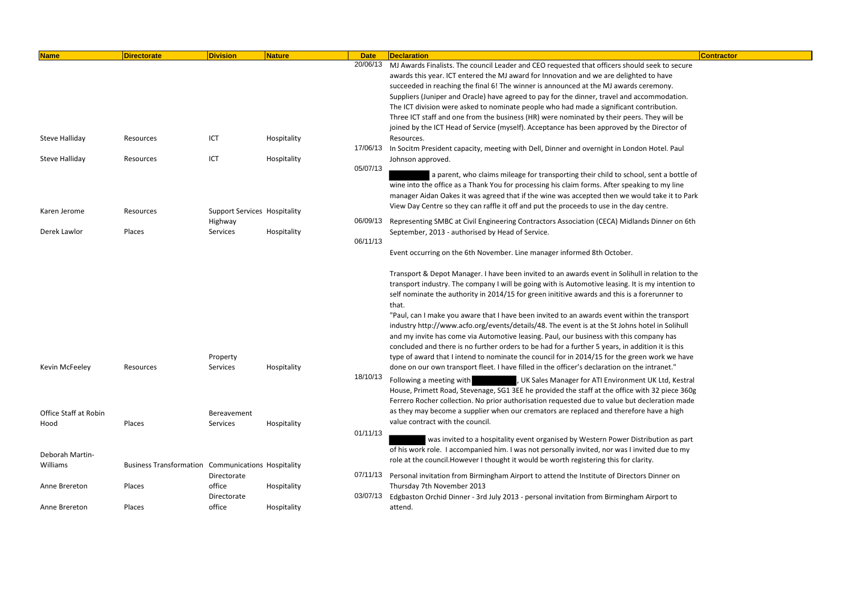| <b>Name</b>           | <b>Directorate</b>                                        | <b>Division</b>                     | Nature      | <b>Date</b> | <b>Declaration</b>                                                                                | Contractor |
|-----------------------|-----------------------------------------------------------|-------------------------------------|-------------|-------------|---------------------------------------------------------------------------------------------------|------------|
|                       |                                                           |                                     |             | 20/06/13    | MJ Awards Finalists. The council Leader and CEO requested that officers should seek to secure     |            |
|                       |                                                           |                                     |             |             | awards this year. ICT entered the MJ award for Innovation and we are delighted to have            |            |
|                       |                                                           |                                     |             |             | succeeded in reaching the final 6! The winner is announced at the MJ awards ceremony.             |            |
|                       |                                                           |                                     |             |             | Suppliers (Juniper and Oracle) have agreed to pay for the dinner, travel and accommodation.       |            |
|                       |                                                           |                                     |             |             | The ICT division were asked to nominate people who had made a significant contribution.           |            |
|                       |                                                           |                                     |             |             | Three ICT staff and one from the business (HR) were nominated by their peers. They will be        |            |
|                       |                                                           |                                     |             |             | joined by the ICT Head of Service (myself). Acceptance has been approved by the Director of       |            |
| <b>Steve Halliday</b> | Resources                                                 | ICT                                 | Hospitality |             | Resources.                                                                                        |            |
|                       |                                                           |                                     |             | 17/06/13    | In Socitm President capacity, meeting with Dell, Dinner and overnight in London Hotel. Paul       |            |
| <b>Steve Halliday</b> | Resources                                                 | ICT                                 | Hospitality |             | Johnson approved.                                                                                 |            |
|                       |                                                           |                                     |             | 05/07/13    |                                                                                                   |            |
|                       |                                                           |                                     |             |             | a parent, who claims mileage for transporting their child to school, sent a bottle of             |            |
|                       |                                                           |                                     |             |             | wine into the office as a Thank You for processing his claim forms. After speaking to my line     |            |
|                       |                                                           |                                     |             |             | manager Aidan Oakes it was agreed that if the wine was accepted then we would take it to Park     |            |
| Karen Jerome          | Resources                                                 | <b>Support Services Hospitality</b> |             |             | View Day Centre so they can raffle it off and put the proceeds to use in the day centre.          |            |
|                       |                                                           | Highway                             |             | 06/09/13    | Representing SMBC at Civil Engineering Contractors Association (CECA) Midlands Dinner on 6th      |            |
| Derek Lawlor          | Places                                                    | Services                            | Hospitality |             | September, 2013 - authorised by Head of Service.                                                  |            |
|                       |                                                           |                                     |             | 06/11/13    |                                                                                                   |            |
|                       |                                                           |                                     |             |             | Event occurring on the 6th November. Line manager informed 8th October.                           |            |
|                       |                                                           |                                     |             |             | Transport & Depot Manager. I have been invited to an awards event in Solihull in relation to the  |            |
|                       |                                                           |                                     |             |             | transport industry. The company I will be going with is Automotive leasing. It is my intention to |            |
|                       |                                                           |                                     |             |             | self nominate the authority in 2014/15 for green inititive awards and this is a forerunner to     |            |
|                       |                                                           |                                     |             |             | that.                                                                                             |            |
|                       |                                                           |                                     |             |             | "Paul, can I make you aware that I have been invited to an awards event within the transport      |            |
|                       |                                                           |                                     |             |             | industry http://www.acfo.org/events/details/48. The event is at the St Johns hotel in Solihull    |            |
|                       |                                                           |                                     |             |             | and my invite has come via Automotive leasing. Paul, our business with this company has           |            |
|                       |                                                           |                                     |             |             | concluded and there is no further orders to be had for a further 5 years, in addition it is this  |            |
|                       |                                                           | Property                            |             |             | type of award that I intend to nominate the council for in 2014/15 for the green work we have     |            |
| Kevin McFeeley        | Resources                                                 | Services                            | Hospitality |             | done on our own transport fleet. I have filled in the officer's declaration on the intranet."     |            |
|                       |                                                           |                                     |             | 18/10/13    | Following a meeting with<br>, UK Sales Manager for ATI Environment UK Ltd, Kestral                |            |
|                       |                                                           |                                     |             |             | House, Primett Road, Stevenage, SG1 3EE he provided the staff at the office with 32 piece 360g    |            |
|                       |                                                           |                                     |             |             |                                                                                                   |            |
|                       |                                                           |                                     |             |             | Ferrero Rocher collection. No prior authorisation requested due to value but decleration made     |            |
| Office Staff at Robin |                                                           | Bereavement                         |             |             | as they may become a supplier when our cremators are replaced and therefore have a high           |            |
| Hood                  | Places                                                    | Services                            | Hospitality |             | value contract with the council.                                                                  |            |
|                       |                                                           |                                     |             | 01/11/13    | was invited to a hospitality event organised by Western Power Distribution as part                |            |
|                       |                                                           |                                     |             |             | of his work role. I accompanied him. I was not personally invited, nor was I invited due to my    |            |
| Deborah Martin-       |                                                           |                                     |             |             | role at the council. However I thought it would be worth registering this for clarity.            |            |
| Williams              | <b>Business Transformation Communications Hospitality</b> |                                     |             |             |                                                                                                   |            |
|                       |                                                           | Directorate                         |             | 07/11/13    | Personal invitation from Birmingham Airport to attend the Institute of Directors Dinner on        |            |
| Anne Brereton         | Places                                                    | office                              | Hospitality |             | Thursday 7th November 2013                                                                        |            |
|                       |                                                           | Directorate                         |             | 03/07/13    | Edgbaston Orchid Dinner - 3rd July 2013 - personal invitation from Birmingham Airport to          |            |
| Anne Brereton         | Places                                                    | office                              | Hospitality |             | attend.                                                                                           |            |